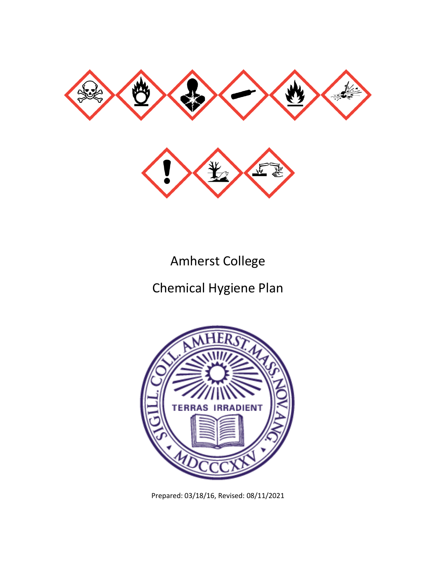



Amherst College

Chemical Hygiene Plan



Prepared: 03/18/16, Revised: 08/11/2021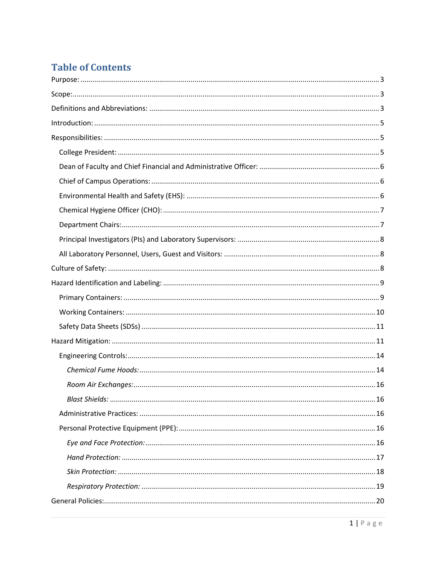# **Table of Contents**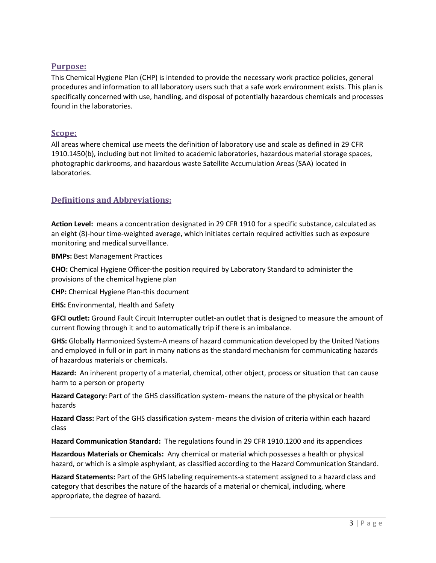#### <span id="page-3-0"></span>**Purpose:**

This Chemical Hygiene Plan (CHP) is intended to provide the necessary work practice policies, general procedures and information to all laboratory users such that a safe work environment exists. This plan is specifically concerned with use, handling, and disposal of potentially hazardous chemicals and processes found in the laboratories.

#### <span id="page-3-1"></span>**Scope:**

All areas where chemical use meets the definition of laboratory use and scale as defined in 29 CFR 1910.1450(b), including but not limited to academic laboratories, hazardous material storage spaces, photographic darkrooms, and hazardous waste Satellite Accumulation Areas (SAA) located in laboratories.

# <span id="page-3-2"></span>**Definitions and Abbreviations:**

**Action Level:** means a concentration designated in 29 CFR 1910 for a specific substance, calculated as an eight (8)-hour time-weighted average, which initiates certain required activities such as exposure monitoring and medical surveillance.

**BMPs:** Best Management Practices

**CHO:** Chemical Hygiene Officer-the position required by Laboratory Standard to administer the provisions of the chemical hygiene plan

**CHP:** Chemical Hygiene Plan-this document

**EHS:** Environmental, Health and Safety

**GFCI outlet:** Ground Fault Circuit Interrupter outlet-an outlet that is designed to measure the amount of current flowing through it and to automatically trip if there is an imbalance.

**GHS:** Globally Harmonized System-A means of hazard communication developed by the United Nations and employed in full or in part in many nations as the standard mechanism for communicating hazards of hazardous materials or chemicals.

**Hazard:** An inherent property of a material, chemical, other object, process or situation that can cause harm to a person or property

**Hazard Category:** Part of the GHS classification system- means the nature of the physical or health hazards

**Hazard Class:** Part of the GHS classification system- means the division of criteria within each hazard class

**Hazard Communication Standard:** The regulations found in 29 CFR 1910.1200 and its appendices

**Hazardous Materials or Chemicals:** Any chemical or material which possesses a health or physical hazard, or which is a simple asphyxiant, as classified according to the Hazard Communication Standard.

**Hazard Statements:** Part of the GHS labeling requirements-a statement assigned to a hazard class and category that describes the nature of the hazards of a material or chemical, including, where appropriate, the degree of hazard.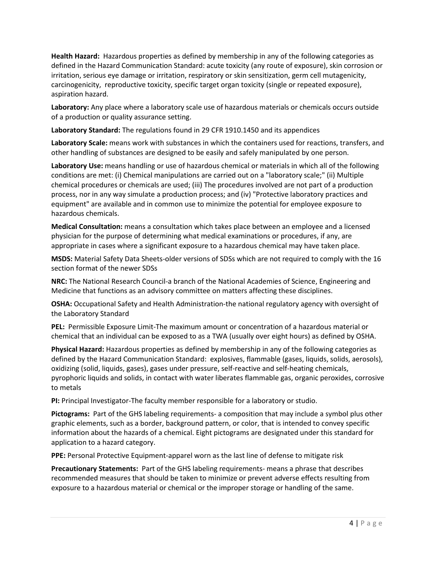**Health Hazard:** Hazardous properties as defined by membership in any of the following categories as defined in the Hazard Communication Standard: acute toxicity (any route of exposure), skin corrosion or irritation, serious eye damage or irritation, respiratory or skin sensitization, germ cell mutagenicity, carcinogenicity, reproductive toxicity, specific target organ toxicity (single or repeated exposure), aspiration hazard.

**Laboratory:** Any place where a laboratory scale use of hazardous materials or chemicals occurs outside of a production or quality assurance setting.

**Laboratory Standard:** The regulations found in 29 CFR 1910.1450 and its appendices

**Laboratory Scale:** means work with substances in which the containers used for reactions, transfers, and other handling of substances are designed to be easily and safely manipulated by one person.

**Laboratory Use:** means handling or use of hazardous chemical or materials in which all of the following conditions are met: (i) Chemical manipulations are carried out on a "laboratory scale;" (ii) Multiple chemical procedures or chemicals are used; (iii) The procedures involved are not part of a production process, nor in any way simulate a production process; and (iv) "Protective laboratory practices and equipment" are available and in common use to minimize the potential for employee exposure to hazardous chemicals.

**Medical Consultation:** means a consultation which takes place between an employee and a licensed physician for the purpose of determining what medical examinations or procedures, if any, are appropriate in cases where a significant exposure to a hazardous chemical may have taken place.

**MSDS:** Material Safety Data Sheets-older versions of SDSs which are not required to comply with the 16 section format of the newer SDSs

**NRC:** The National Research Council-a branch of the National Academies of Science, Engineering and Medicine that functions as an advisory committee on matters affecting these disciplines.

**OSHA:** Occupational Safety and Health Administration-the national regulatory agency with oversight of the Laboratory Standard

**PEL:** Permissible Exposure Limit-The maximum amount or concentration of a hazardous material or chemical that an individual can be exposed to as a TWA (usually over eight hours) as defined by OSHA.

**Physical Hazard:** Hazardous properties as defined by membership in any of the following categories as defined by the Hazard Communication Standard: explosives, flammable (gases, liquids, solids, aerosols), oxidizing (solid, liquids, gases), gases under pressure, self-reactive and self-heating chemicals, pyrophoric liquids and solids, in contact with water liberates flammable gas, organic peroxides, corrosive to metals

**PI:** Principal Investigator-The faculty member responsible for a laboratory or studio.

**Pictograms:** Part of the GHS labeling requirements- a composition that may include a symbol plus other graphic elements, such as a border, background pattern, or color, that is intended to convey specific information about the hazards of a chemical. Eight pictograms are designated under this standard for application to a hazard category.

**PPE:** Personal Protective Equipment-apparel worn as the last line of defense to mitigate risk

**Precautionary Statements:** Part of the GHS labeling requirements- means a phrase that describes recommended measures that should be taken to minimize or prevent adverse effects resulting from exposure to a hazardous material or chemical or the improper storage or handling of the same.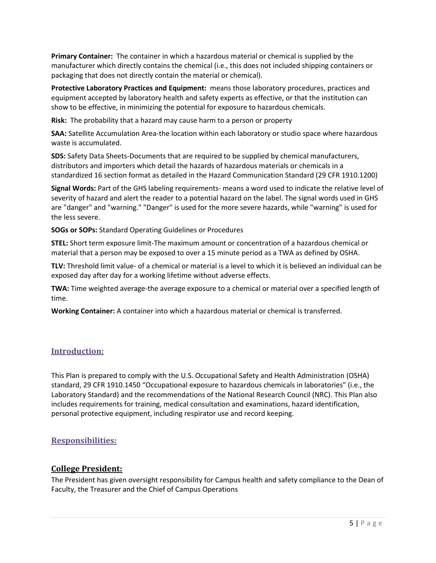**Primary Container:** The container in which a hazardous material or chemical is supplied by the manufacturer which directly contains the chemical (i.e., this does not included shipping containers or packaging that does not directly contain the material or chemical).

**Protective Laboratory Practices and Equipment:** means those laboratory procedures, practices and equipment accepted by laboratory health and safety experts as effective, or that the institution can show to be effective, in minimizing the potential for exposure to hazardous chemicals.

**Risk:** The probability that a hazard may cause harm to a person or property

**SAA:** Satellite Accumulation Area-the location within each laboratory or studio space where hazardous waste is accumulated.

**SDS:** Safety Data Sheets-Documents that are required to be supplied by chemical manufacturers, distributors and importers which detail the hazards of hazardous materials or chemicals in a standardized 16 section format as detailed in the Hazard Communication Standard (29 CFR 1910.1200)

**Signal Words:** Part of the GHS labeling requirements- means a word used to indicate the relative level of severity of hazard and alert the reader to a potential hazard on the label. The signal words used in GHS are "danger" and "warning." "Danger" is used for the more severe hazards, while "warning" is used for the less severe.

**SOGs or SOPs:** Standard Operating Guidelines or Procedures

**STEL:** Short term exposure limit-The maximum amount or concentration of a hazardous chemical or material that a person may be exposed to over a 15 minute period as a TWA as defined by OSHA.

**TLV:** Threshold limit value- of a chemical or material is a level to which it is believed an individual can be exposed day after day for a working lifetime without adverse effects.

**TWA:** Time weighted average-the average exposure to a chemical or material over a specified length of time.

**Working Container:** A container into which a hazardous material or chemical is transferred.

#### <span id="page-5-0"></span>**Introduction:**

This Plan is prepared to comply with the U.S. Occupational Safety and Health Administration (OSHA) standard, 29 CFR 1910.1450 "Occupational exposure to hazardous chemicals in laboratories" (i.e., the Laboratory Standard) and the recommendations of the National Research Council (NRC). This Plan also includes requirements for training, medical consultation and examinations, hazard identification, personal protective equipment, including respirator use and record keeping.

#### <span id="page-5-1"></span>**Responsibilities:**

#### <span id="page-5-2"></span>**College President:**

The President has given oversight responsibility for Campus health and safety compliance to the Dean of Faculty, the Treasurer and the Chief of Campus Operations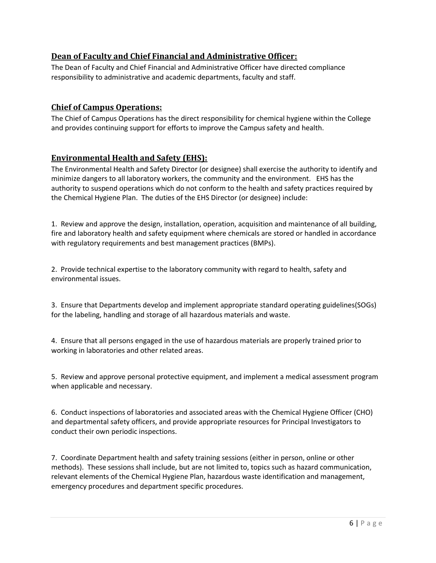# <span id="page-6-0"></span>**Dean of Faculty and Chief Financial and Administrative Officer:**

The Dean of Faculty and Chief Financial and Administrative Officer have directed compliance responsibility to administrative and academic departments, faculty and staff.

### <span id="page-6-1"></span>**Chief of Campus Operations:**

The Chief of Campus Operations has the direct responsibility for chemical hygiene within the College and provides continuing support for efforts to improve the Campus safety and health.

#### <span id="page-6-2"></span>**Environmental Health and Safety (EHS):**

The Environmental Health and Safety Director (or designee) shall exercise the authority to identify and minimize dangers to all laboratory workers, the community and the environment. EHS has the authority to suspend operations which do not conform to the health and safety practices required by the Chemical Hygiene Plan. The duties of the EHS Director (or designee) include:

1. Review and approve the design, installation, operation, acquisition and maintenance of all building, fire and laboratory health and safety equipment where chemicals are stored or handled in accordance with regulatory requirements and best management practices (BMPs).

2. Provide technical expertise to the laboratory community with regard to health, safety and environmental issues.

3. Ensure that Departments develop and implement appropriate standard operating guidelines(SOGs) for the labeling, handling and storage of all hazardous materials and waste.

4. Ensure that all persons engaged in the use of hazardous materials are properly trained prior to working in laboratories and other related areas.

5. Review and approve personal protective equipment, and implement a medical assessment program when applicable and necessary.

6. Conduct inspections of laboratories and associated areas with the Chemical Hygiene Officer (CHO) and departmental safety officers, and provide appropriate resources for Principal Investigators to conduct their own periodic inspections.

7. Coordinate Department health and safety training sessions (either in person, online or other methods). These sessions shall include, but are not limited to, topics such as hazard communication, relevant elements of the Chemical Hygiene Plan, hazardous waste identification and management, emergency procedures and department specific procedures.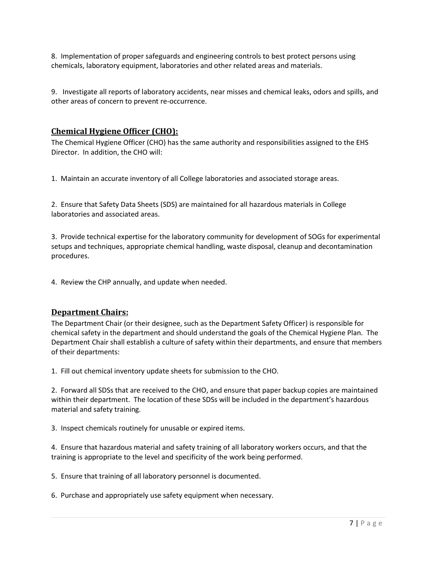8. Implementation of proper safeguards and engineering controls to best protect persons using chemicals, laboratory equipment, laboratories and other related areas and materials.

9. Investigate all reports of laboratory accidents, near misses and chemical leaks, odors and spills, and other areas of concern to prevent re-occurrence.

### <span id="page-7-0"></span>**Chemical Hygiene Officer (CHO):**

The Chemical Hygiene Officer (CHO) has the same authority and responsibilities assigned to the EHS Director. In addition, the CHO will:

1. Maintain an accurate inventory of all College laboratories and associated storage areas.

2. Ensure that Safety Data Sheets (SDS) are maintained for all hazardous materials in College laboratories and associated areas.

3. Provide technical expertise for the laboratory community for development of SOGs for experimental setups and techniques, appropriate chemical handling, waste disposal, cleanup and decontamination procedures.

4. Review the CHP annually, and update when needed.

#### <span id="page-7-1"></span>**Department Chairs:**

The Department Chair (or their designee, such as the Department Safety Officer) is responsible for chemical safety in the department and should understand the goals of the Chemical Hygiene Plan. The Department Chair shall establish a culture of safety within their departments, and ensure that members of their departments:

1. Fill out chemical inventory update sheets for submission to the CHO.

2. Forward all SDSs that are received to the CHO, and ensure that paper backup copies are maintained within their department. The location of these SDSs will be included in the department's hazardous material and safety training.

3. Inspect chemicals routinely for unusable or expired items.

4. Ensure that hazardous material and safety training of all laboratory workers occurs, and that the training is appropriate to the level and specificity of the work being performed.

5. Ensure that training of all laboratory personnel is documented.

6. Purchase and appropriately use safety equipment when necessary.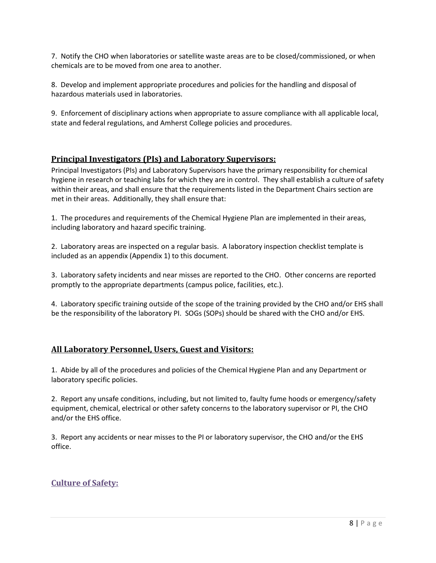7. Notify the CHO when laboratories or satellite waste areas are to be closed/commissioned, or when chemicals are to be moved from one area to another.

8. Develop and implement appropriate procedures and policies for the handling and disposal of hazardous materials used in laboratories.

9. Enforcement of disciplinary actions when appropriate to assure compliance with all applicable local, state and federal regulations, and Amherst College policies and procedures.

#### <span id="page-8-0"></span>**Principal Investigators (PIs) and Laboratory Supervisors:**

Principal Investigators (PIs) and Laboratory Supervisors have the primary responsibility for chemical hygiene in research or teaching labs for which they are in control. They shall establish a culture of safety within their areas, and shall ensure that the requirements listed in the Department Chairs section are met in their areas. Additionally, they shall ensure that:

1. The procedures and requirements of the Chemical Hygiene Plan are implemented in their areas, including laboratory and hazard specific training.

2. Laboratory areas are inspected on a regular basis. A laboratory inspection checklist template is included as an appendix (Appendix 1) to this document.

3. Laboratory safety incidents and near misses are reported to the CHO. Other concerns are reported promptly to the appropriate departments (campus police, facilities, etc.).

4. Laboratory specific training outside of the scope of the training provided by the CHO and/or EHS shall be the responsibility of the laboratory PI. SOGs (SOPs) should be shared with the CHO and/or EHS.

# <span id="page-8-1"></span>**All Laboratory Personnel, Users, Guest and Visitors:**

1. Abide by all of the procedures and policies of the Chemical Hygiene Plan and any Department or laboratory specific policies.

2. Report any unsafe conditions, including, but not limited to, faulty fume hoods or emergency/safety equipment, chemical, electrical or other safety concerns to the laboratory supervisor or PI, the CHO and/or the EHS office.

3. Report any accidents or near misses to the PI or laboratory supervisor, the CHO and/or the EHS office.

# <span id="page-8-2"></span>**Culture of Safety:**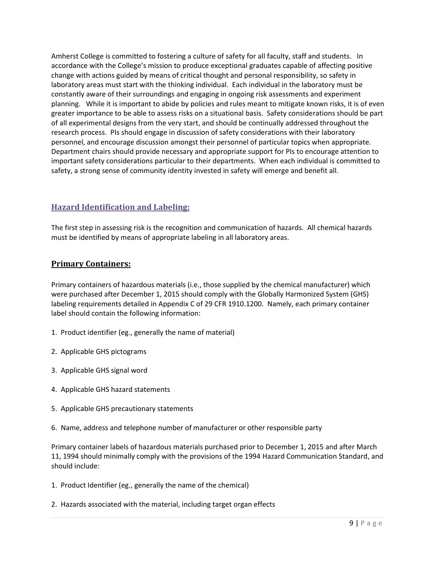Amherst College is committed to fostering a culture of safety for all faculty, staff and students. In accordance with the College's mission to produce exceptional graduates capable of affecting positive change with actions guided by means of critical thought and personal responsibility, so safety in laboratory areas must start with the thinking individual. Each individual in the laboratory must be constantly aware of their surroundings and engaging in ongoing risk assessments and experiment planning. While it is important to abide by policies and rules meant to mitigate known risks, it is of even greater importance to be able to assess risks on a situational basis. Safety considerations should be part of all experimental designs from the very start, and should be continually addressed throughout the research process. PIs should engage in discussion of safety considerations with their laboratory personnel, and encourage discussion amongst their personnel of particular topics when appropriate. Department chairs should provide necessary and appropriate support for PIs to encourage attention to important safety considerations particular to their departments. When each individual is committed to safety, a strong sense of community identity invested in safety will emerge and benefit all.

# <span id="page-9-0"></span>**Hazard Identification and Labeling:**

The first step in assessing risk is the recognition and communication of hazards. All chemical hazards must be identified by means of appropriate labeling in all laboratory areas.

# <span id="page-9-1"></span>**Primary Containers:**

Primary containers of hazardous materials (i.e., those supplied by the chemical manufacturer) which were purchased after December 1, 2015 should comply with the Globally Harmonized System (GHS) labeling requirements detailed in Appendix C of 29 CFR 1910.1200. Namely, each primary container label should contain the following information:

- 1. Product identifier (eg., generally the name of material)
- 2. Applicable GHS pictograms
- 3. Applicable GHS signal word
- 4. Applicable GHS hazard statements
- 5. Applicable GHS precautionary statements
- 6. Name, address and telephone number of manufacturer or other responsible party

Primary container labels of hazardous materials purchased prior to December 1, 2015 and after March 11, 1994 should minimally comply with the provisions of the 1994 Hazard Communication Standard, and should include:

- 1. Product Identifier (eg., generally the name of the chemical)
- 2. Hazards associated with the material, including target organ effects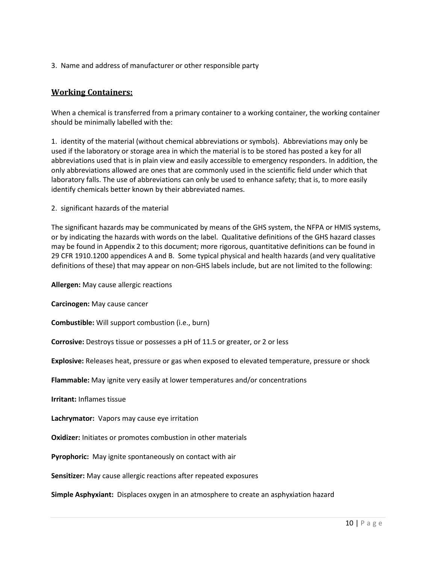3. Name and address of manufacturer or other responsible party

#### <span id="page-10-0"></span>**Working Containers:**

When a chemical is transferred from a primary container to a working container, the working container should be minimally labelled with the:

1. identity of the material (without chemical abbreviations or symbols). Abbreviations may only be used if the laboratory or storage area in which the material is to be stored has posted a key for all abbreviations used that is in plain view and easily accessible to emergency responders. In addition, the only abbreviations allowed are ones that are commonly used in the scientific field under which that laboratory falls. The use of abbreviations can only be used to enhance safety; that is, to more easily identify chemicals better known by their abbreviated names.

2. significant hazards of the material

The significant hazards may be communicated by means of the GHS system, the NFPA or HMIS systems, or by indicating the hazards with words on the label. Qualitative definitions of the GHS hazard classes may be found in Appendix 2 to this document; more rigorous, quantitative definitions can be found in 29 CFR 1910.1200 appendices A and B. Some typical physical and health hazards (and very qualitative definitions of these) that may appear on non-GHS labels include, but are not limited to the following:

**Allergen:** May cause allergic reactions

**Carcinogen:** May cause cancer

**Combustible:** Will support combustion (i.e., burn)

**Corrosive:** Destroys tissue or possesses a pH of 11.5 or greater, or 2 or less

**Explosive:** Releases heat, pressure or gas when exposed to elevated temperature, pressure or shock

**Flammable:** May ignite very easily at lower temperatures and/or concentrations

**Irritant:** Inflames tissue

**Lachrymator:** Vapors may cause eye irritation

**Oxidizer:** Initiates or promotes combustion in other materials

**Pyrophoric:** May ignite spontaneously on contact with air

**Sensitizer:** May cause allergic reactions after repeated exposures

**Simple Asphyxiant:** Displaces oxygen in an atmosphere to create an asphyxiation hazard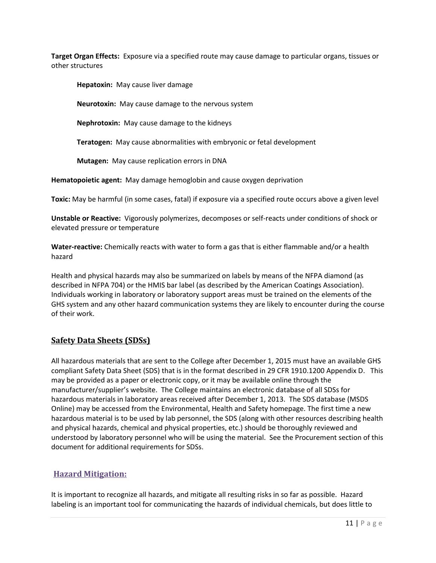**Target Organ Effects:** Exposure via a specified route may cause damage to particular organs, tissues or other structures

**Hepatoxin:** May cause liver damage

**Neurotoxin:** May cause damage to the nervous system

**Nephrotoxin:** May cause damage to the kidneys

**Teratogen:** May cause abnormalities with embryonic or fetal development

**Mutagen:** May cause replication errors in DNA

**Hematopoietic agent:** May damage hemoglobin and cause oxygen deprivation

**Toxic:** May be harmful (in some cases, fatal) if exposure via a specified route occurs above a given level

**Unstable or Reactive:** Vigorously polymerizes, decomposes or self-reacts under conditions of shock or elevated pressure or temperature

**Water-reactive:** Chemically reacts with water to form a gas that is either flammable and/or a health hazard

Health and physical hazards may also be summarized on labels by means of the NFPA diamond (as described in NFPA 704) or the HMIS bar label (as described by the American Coatings Association). Individuals working in laboratory or laboratory support areas must be trained on the elements of the GHS system and any other hazard communication systems they are likely to encounter during the course of their work.

#### <span id="page-11-0"></span>**Safety Data Sheets (SDSs)**

All hazardous materials that are sent to the College after December 1, 2015 must have an available GHS compliant Safety Data Sheet (SDS) that is in the format described in 29 CFR 1910.1200 Appendix D. This may be provided as a paper or electronic copy, or it may be available online through the manufacturer/supplier's website. The College maintains an electronic database of all SDSs for hazardous materials in laboratory areas received after December 1, 2013. The SDS database (MSDS Online) may be accessed from the Environmental, Health and Safety homepage. The first time a new hazardous material is to be used by lab personnel, the SDS (along with other resources describing health and physical hazards, chemical and physical properties, etc.) should be thoroughly reviewed and understood by laboratory personnel who will be using the material. See the Procurement section of this document for additional requirements for SDSs.

# <span id="page-11-1"></span>**Hazard Mitigation:**

It is important to recognize all hazards, and mitigate all resulting risks in so far as possible. Hazard labeling is an important tool for communicating the hazards of individual chemicals, but does little to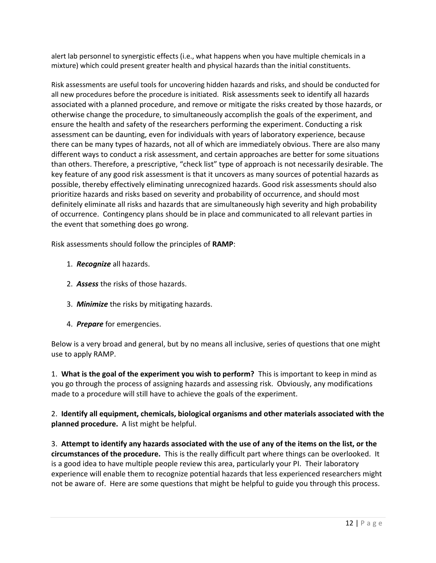alert lab personnel to synergistic effects (i.e., what happens when you have multiple chemicals in a mixture) which could present greater health and physical hazards than the initial constituents.

Risk assessments are useful tools for uncovering hidden hazards and risks, and should be conducted for all new procedures before the procedure is initiated. Risk assessments seek to identify all hazards associated with a planned procedure, and remove or mitigate the risks created by those hazards, or otherwise change the procedure, to simultaneously accomplish the goals of the experiment, and ensure the health and safety of the researchers performing the experiment. Conducting a risk assessment can be daunting, even for individuals with years of laboratory experience, because there can be many types of hazards, not all of which are immediately obvious. There are also many different ways to conduct a risk assessment, and certain approaches are better for some situations than others. Therefore, a prescriptive, "check list" type of approach is not necessarily desirable. The key feature of any good risk assessment is that it uncovers as many sources of potential hazards as possible, thereby effectively eliminating unrecognized hazards. Good risk assessments should also prioritize hazards and risks based on severity and probability of occurrence, and should most definitely eliminate all risks and hazards that are simultaneously high severity and high probability of occurrence. Contingency plans should be in place and communicated to all relevant parties in the event that something does go wrong.

Risk assessments should follow the principles of **RAMP**:

- 1. *Recognize* all hazards.
- 2. *Assess* the risks of those hazards.
- 3. *Minimize* the risks by mitigating hazards.
- 4. *Prepare* for emergencies.

Below is a very broad and general, but by no means all inclusive, series of questions that one might use to apply RAMP.

1. **What is the goal of the experiment you wish to perform?** This is important to keep in mind as you go through the process of assigning hazards and assessing risk. Obviously, any modifications made to a procedure will still have to achieve the goals of the experiment.

2. **Identify all equipment, chemicals, biological organisms and other materials associated with the planned procedure.** A list might be helpful.

3. **Attempt to identify any hazards associated with the use of any of the items on the list, or the circumstances of the procedure.** This is the really difficult part where things can be overlooked. It is a good idea to have multiple people review this area, particularly your PI. Their laboratory experience will enable them to recognize potential hazards that less experienced researchers might not be aware of. Here are some questions that might be helpful to guide you through this process.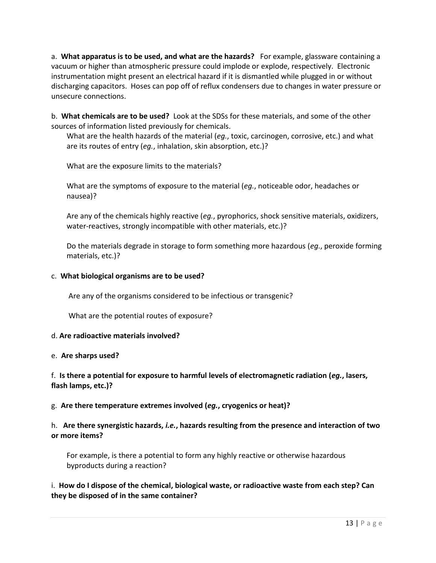a. **What apparatus is to be used, and what are the hazards?** For example, glassware containing a vacuum or higher than atmospheric pressure could implode or explode, respectively. Electronic instrumentation might present an electrical hazard if it is dismantled while plugged in or without discharging capacitors. Hoses can pop off of reflux condensers due to changes in water pressure or unsecure connections.

b. **What chemicals are to be used?** Look at the SDSs for these materials, and some of the other sources of information listed previously for chemicals.

What are the health hazards of the material (*eg.*, toxic, carcinogen, corrosive, etc.) and what are its routes of entry (*eg.*, inhalation, skin absorption, etc.)?

What are the exposure limits to the materials?

What are the symptoms of exposure to the material (*eg.*, noticeable odor, headaches or nausea)?

Are any of the chemicals highly reactive (*eg.*, pyrophorics, shock sensitive materials, oxidizers, water-reactives, strongly incompatible with other materials, etc.)?

Do the materials degrade in storage to form something more hazardous (*eg.*, peroxide forming materials, etc.)?

#### c. **What biological organisms are to be used?**

Are any of the organisms considered to be infectious or transgenic?

What are the potential routes of exposure?

#### d. **Are radioactive materials involved?**

#### e. **Are sharps used?**

# f. **Is there a potential for exposure to harmful levels of electromagnetic radiation (***eg.***, lasers, flash lamps, etc.)?**

# g. **Are there temperature extremes involved (***eg.***, cryogenics or heat)?**

# h. **Are there synergistic hazards,** *i.e.***, hazards resulting from the presence and interaction of two or more items?**

For example, is there a potential to form any highly reactive or otherwise hazardous byproducts during a reaction?

#### i. **How do I dispose of the chemical, biological waste, or radioactive waste from each step? Can they be disposed of in the same container?**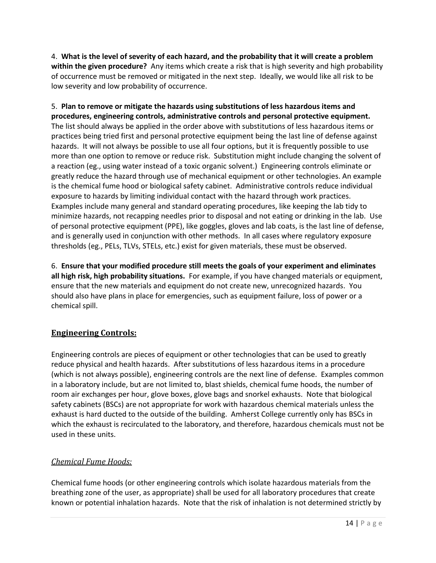4. **What is the level of severity of each hazard, and the probability that it will create a problem within the given procedure?** Any items which create a risk that is high severity and high probability of occurrence must be removed or mitigated in the next step. Ideally, we would like all risk to be low severity and low probability of occurrence.

5. **Plan to remove or mitigate the hazards using substitutions of less hazardous items and procedures, engineering controls, administrative controls and personal protective equipment.** The list should always be applied in the order above with substitutions of less hazardous items or practices being tried first and personal protective equipment being the last line of defense against hazards. It will not always be possible to use all four options, but it is frequently possible to use more than one option to remove or reduce risk. Substitution might include changing the solvent of a reaction (eg., using water instead of a toxic organic solvent.) Engineering controls eliminate or greatly reduce the hazard through use of mechanical equipment or other technologies. An example is the chemical fume hood or biological safety cabinet. Administrative controls reduce individual exposure to hazards by limiting individual contact with the hazard through work practices. Examples include many general and standard operating procedures, like keeping the lab tidy to minimize hazards, not recapping needles prior to disposal and not eating or drinking in the lab. Use of personal protective equipment (PPE), like goggles, gloves and lab coats, is the last line of defense, and is generally used in conjunction with other methods. In all cases where regulatory exposure thresholds (eg., PELs, TLVs, STELs, etc.) exist for given materials, these must be observed.

6. **Ensure that your modified procedure still meets the goals of your experiment and eliminates all high risk, high probability situations.** For example, if you have changed materials or equipment, ensure that the new materials and equipment do not create new, unrecognized hazards. You should also have plans in place for emergencies, such as equipment failure, loss of power or a chemical spill.

# <span id="page-14-0"></span>**Engineering Controls:**

Engineering controls are pieces of equipment or other technologies that can be used to greatly reduce physical and health hazards. After substitutions of less hazardous items in a procedure (which is not always possible), engineering controls are the next line of defense. Examples common in a laboratory include, but are not limited to, blast shields, chemical fume hoods, the number of room air exchanges per hour, glove boxes, glove bags and snorkel exhausts. Note that biological safety cabinets (BSCs) are not appropriate for work with hazardous chemical materials unless the exhaust is hard ducted to the outside of the building. Amherst College currently only has BSCs in which the exhaust is recirculated to the laboratory, and therefore, hazardous chemicals must not be used in these units.

# <span id="page-14-1"></span>*Chemical Fume Hoods:*

Chemical fume hoods (or other engineering controls which isolate hazardous materials from the breathing zone of the user, as appropriate) shall be used for all laboratory procedures that create known or potential inhalation hazards. Note that the risk of inhalation is not determined strictly by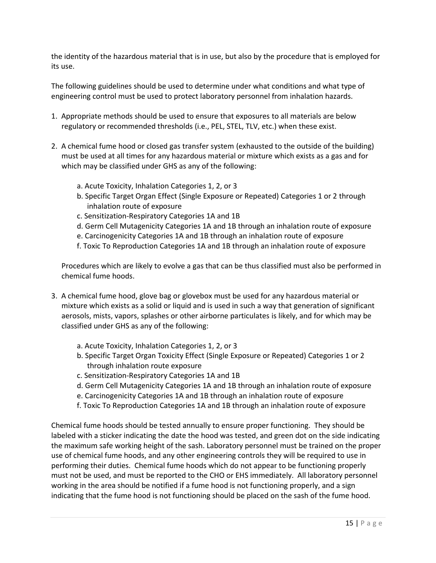the identity of the hazardous material that is in use, but also by the procedure that is employed for its use.

The following guidelines should be used to determine under what conditions and what type of engineering control must be used to protect laboratory personnel from inhalation hazards.

- 1. Appropriate methods should be used to ensure that exposures to all materials are below regulatory or recommended thresholds (i.e., PEL, STEL, TLV, etc.) when these exist.
- 2. A chemical fume hood or closed gas transfer system (exhausted to the outside of the building) must be used at all times for any hazardous material or mixture which exists as a gas and for which may be classified under GHS as any of the following:
	- a. Acute Toxicity, Inhalation Categories 1, 2, or 3
	- b. Specific Target Organ Effect (Single Exposure or Repeated) Categories 1 or 2 through inhalation route of exposure
	- c. Sensitization-Respiratory Categories 1A and 1B
	- d. Germ Cell Mutagenicity Categories 1A and 1B through an inhalation route of exposure
	- e. Carcinogenicity Categories 1A and 1B through an inhalation route of exposure
	- f. Toxic To Reproduction Categories 1A and 1B through an inhalation route of exposure

Procedures which are likely to evolve a gas that can be thus classified must also be performed in chemical fume hoods.

- 3. A chemical fume hood, glove bag or glovebox must be used for any hazardous material or mixture which exists as a solid or liquid and is used in such a way that generation of significant aerosols, mists, vapors, splashes or other airborne particulates is likely, and for which may be classified under GHS as any of the following:
	- a. Acute Toxicity, Inhalation Categories 1, 2, or 3
	- b. Specific Target Organ Toxicity Effect (Single Exposure or Repeated) Categories 1 or 2 through inhalation route exposure
	- c. Sensitization-Respiratory Categories 1A and 1B
	- d. Germ Cell Mutagenicity Categories 1A and 1B through an inhalation route of exposure
	- e. Carcinogenicity Categories 1A and 1B through an inhalation route of exposure
	- f. Toxic To Reproduction Categories 1A and 1B through an inhalation route of exposure

Chemical fume hoods should be tested annually to ensure proper functioning. They should be labeled with a sticker indicating the date the hood was tested, and green dot on the side indicating the maximum safe working height of the sash. Laboratory personnel must be trained on the proper use of chemical fume hoods, and any other engineering controls they will be required to use in performing their duties. Chemical fume hoods which do not appear to be functioning properly must not be used, and must be reported to the CHO or EHS immediately. All laboratory personnel working in the area should be notified if a fume hood is not functioning properly, and a sign indicating that the fume hood is not functioning should be placed on the sash of the fume hood.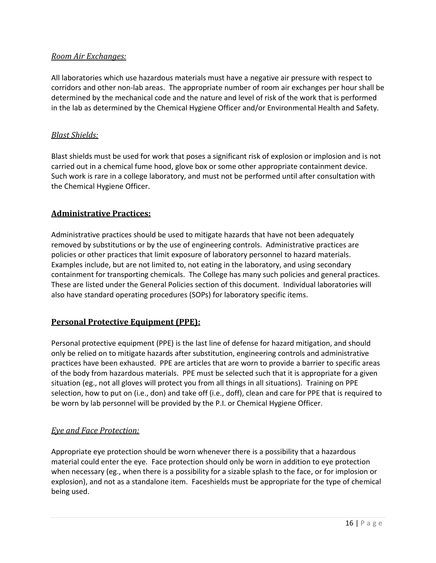# <span id="page-16-0"></span>*Room Air Exchanges:*

All laboratories which use hazardous materials must have a negative air pressure with respect to corridors and other non-lab areas. The appropriate number of room air exchanges per hour shall be determined by the mechanical code and the nature and level of risk of the work that is performed in the lab as determined by the Chemical Hygiene Officer and/or Environmental Health and Safety.

# <span id="page-16-1"></span>*Blast Shields:*

Blast shields must be used for work that poses a significant risk of explosion or implosion and is not carried out in a chemical fume hood, glove box or some other appropriate containment device. Such work is rare in a college laboratory, and must not be performed until after consultation with the Chemical Hygiene Officer.

# <span id="page-16-2"></span>**Administrative Practices:**

Administrative practices should be used to mitigate hazards that have not been adequately removed by substitutions or by the use of engineering controls. Administrative practices are policies or other practices that limit exposure of laboratory personnel to hazard materials. Examples include, but are not limited to, not eating in the laboratory, and using secondary containment for transporting chemicals. The College has many such policies and general practices. These are listed under the General Policies section of this document. Individual laboratories will also have standard operating procedures (SOPs) for laboratory specific items.

# <span id="page-16-3"></span>**Personal Protective Equipment (PPE):**

Personal protective equipment (PPE) is the last line of defense for hazard mitigation, and should only be relied on to mitigate hazards after substitution, engineering controls and administrative practices have been exhausted. PPE are articles that are worn to provide a barrier to specific areas of the body from hazardous materials. PPE must be selected such that it is appropriate for a given situation (eg., not all gloves will protect you from all things in all situations). Training on PPE selection, how to put on (i.e., don) and take off (i.e., doff), clean and care for PPE that is required to be worn by lab personnel will be provided by the P.I. or Chemical Hygiene Officer.

# <span id="page-16-4"></span>*Eye and Face Protection:*

Appropriate eye protection should be worn whenever there is a possibility that a hazardous material could enter the eye. Face protection should only be worn in addition to eye protection when necessary (eg., when there is a possibility for a sizable splash to the face, or for implosion or explosion), and not as a standalone item. Faceshields must be appropriate for the type of chemical being used.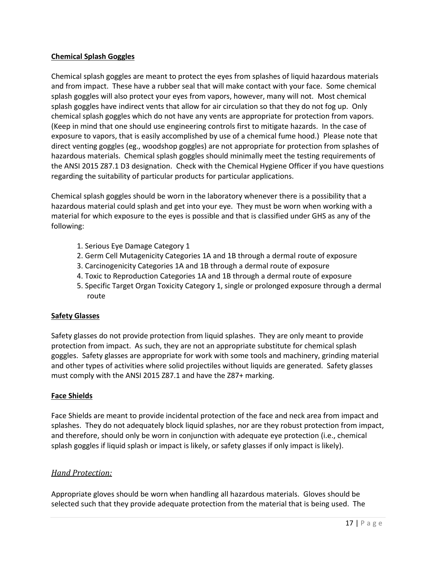#### **Chemical Splash Goggles**

Chemical splash goggles are meant to protect the eyes from splashes of liquid hazardous materials and from impact. These have a rubber seal that will make contact with your face. Some chemical splash goggles will also protect your eyes from vapors, however, many will not. Most chemical splash goggles have indirect vents that allow for air circulation so that they do not fog up. Only chemical splash goggles which do not have any vents are appropriate for protection from vapors. (Keep in mind that one should use engineering controls first to mitigate hazards. In the case of exposure to vapors, that is easily accomplished by use of a chemical fume hood.) Please note that direct venting goggles (eg., woodshop goggles) are not appropriate for protection from splashes of hazardous materials. Chemical splash goggles should minimally meet the testing requirements of the ANSI 2015 Z87.1 D3 designation. Check with the Chemical Hygiene Officer if you have questions regarding the suitability of particular products for particular applications.

Chemical splash goggles should be worn in the laboratory whenever there is a possibility that a hazardous material could splash and get into your eye. They must be worn when working with a material for which exposure to the eyes is possible and that is classified under GHS as any of the following:

- 1. Serious Eye Damage Category 1
- 2. Germ Cell Mutagenicity Categories 1A and 1B through a dermal route of exposure
- 3. Carcinogenicity Categories 1A and 1B through a dermal route of exposure
- 4. Toxic to Reproduction Categories 1A and 1B through a dermal route of exposure
- 5. Specific Target Organ Toxicity Category 1, single or prolonged exposure through a dermal route

#### **Safety Glasses**

Safety glasses do not provide protection from liquid splashes. They are only meant to provide protection from impact. As such, they are not an appropriate substitute for chemical splash goggles. Safety glasses are appropriate for work with some tools and machinery, grinding material and other types of activities where solid projectiles without liquids are generated. Safety glasses must comply with the ANSI 2015 Z87.1 and have the Z87+ marking.

#### **Face Shields**

Face Shields are meant to provide incidental protection of the face and neck area from impact and splashes. They do not adequately block liquid splashes, nor are they robust protection from impact, and therefore, should only be worn in conjunction with adequate eye protection (i.e., chemical splash goggles if liquid splash or impact is likely, or safety glasses if only impact is likely).

#### <span id="page-17-0"></span>*Hand Protection:*

Appropriate gloves should be worn when handling all hazardous materials. Gloves should be selected such that they provide adequate protection from the material that is being used. The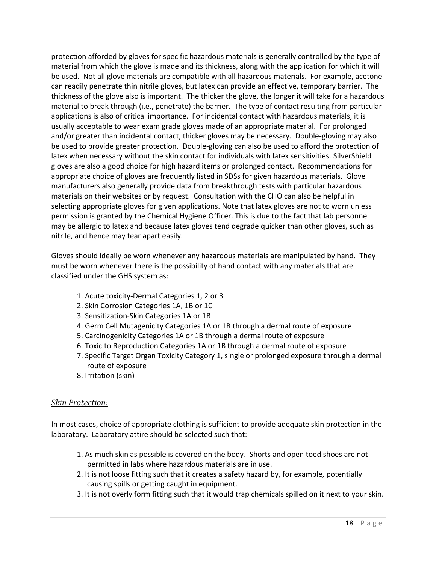protection afforded by gloves for specific hazardous materials is generally controlled by the type of material from which the glove is made and its thickness, along with the application for which it will be used. Not all glove materials are compatible with all hazardous materials. For example, acetone can readily penetrate thin nitrile gloves, but latex can provide an effective, temporary barrier. The thickness of the glove also is important. The thicker the glove, the longer it will take for a hazardous material to break through (i.e., penetrate) the barrier. The type of contact resulting from particular applications is also of critical importance. For incidental contact with hazardous materials, it is usually acceptable to wear exam grade gloves made of an appropriate material. For prolonged and/or greater than incidental contact, thicker gloves may be necessary. Double-gloving may also be used to provide greater protection. Double-gloving can also be used to afford the protection of latex when necessary without the skin contact for individuals with latex sensitivities. SilverShield gloves are also a good choice for high hazard items or prolonged contact. Recommendations for appropriate choice of gloves are frequently listed in SDSs for given hazardous materials. Glove manufacturers also generally provide data from breakthrough tests with particular hazardous materials on their websites or by request. Consultation with the CHO can also be helpful in selecting appropriate gloves for given applications. Note that latex gloves are not to worn unless permission is granted by the Chemical Hygiene Officer. This is due to the fact that lab personnel may be allergic to latex and because latex gloves tend degrade quicker than other gloves, such as nitrile, and hence may tear apart easily.

Gloves should ideally be worn whenever any hazardous materials are manipulated by hand. They must be worn whenever there is the possibility of hand contact with any materials that are classified under the GHS system as:

- 1. Acute toxicity-Dermal Categories 1, 2 or 3
- 2. Skin Corrosion Categories 1A, 1B or 1C
- 3. Sensitization-Skin Categories 1A or 1B
- 4. Germ Cell Mutagenicity Categories 1A or 1B through a dermal route of exposure
- 5. Carcinogenicity Categories 1A or 1B through a dermal route of exposure
- 6. Toxic to Reproduction Categories 1A or 1B through a dermal route of exposure
- 7. Specific Target Organ Toxicity Category 1, single or prolonged exposure through a dermal route of exposure
- 8. Irritation (skin)

#### <span id="page-18-0"></span>*Skin Protection:*

In most cases, choice of appropriate clothing is sufficient to provide adequate skin protection in the laboratory. Laboratory attire should be selected such that:

- 1. As much skin as possible is covered on the body. Shorts and open toed shoes are not permitted in labs where hazardous materials are in use.
- 2. It is not loose fitting such that it creates a safety hazard by, for example, potentially causing spills or getting caught in equipment.
- 3. It is not overly form fitting such that it would trap chemicals spilled on it next to your skin.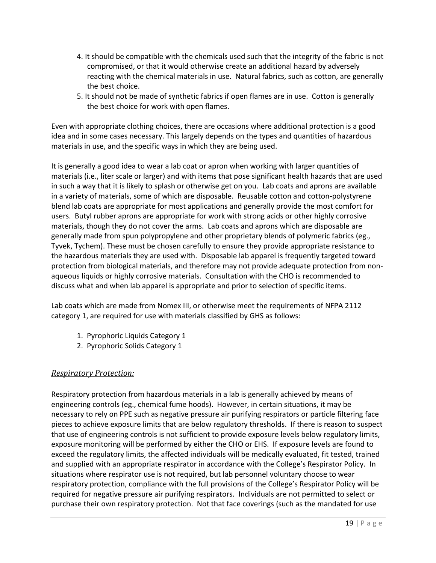- 4. It should be compatible with the chemicals used such that the integrity of the fabric is not compromised, or that it would otherwise create an additional hazard by adversely reacting with the chemical materials in use. Natural fabrics, such as cotton, are generally the best choice.
- 5. It should not be made of synthetic fabrics if open flames are in use. Cotton is generally the best choice for work with open flames.

Even with appropriate clothing choices, there are occasions where additional protection is a good idea and in some cases necessary. This largely depends on the types and quantities of hazardous materials in use, and the specific ways in which they are being used.

It is generally a good idea to wear a lab coat or apron when working with larger quantities of materials (i.e., liter scale or larger) and with items that pose significant health hazards that are used in such a way that it is likely to splash or otherwise get on you. Lab coats and aprons are available in a variety of materials, some of which are disposable. Reusable cotton and cotton-polystyrene blend lab coats are appropriate for most applications and generally provide the most comfort for users. Butyl rubber aprons are appropriate for work with strong acids or other highly corrosive materials, though they do not cover the arms. Lab coats and aprons which are disposable are generally made from spun polypropylene and other proprietary blends of polymeric fabrics (eg., Tyvek, Tychem). These must be chosen carefully to ensure they provide appropriate resistance to the hazardous materials they are used with. Disposable lab apparel is frequently targeted toward protection from biological materials, and therefore may not provide adequate protection from nonaqueous liquids or highly corrosive materials. Consultation with the CHO is recommended to discuss what and when lab apparel is appropriate and prior to selection of specific items.

Lab coats which are made from Nomex III, or otherwise meet the requirements of NFPA 2112 category 1, are required for use with materials classified by GHS as follows:

- 1. Pyrophoric Liquids Category 1
- 2. Pyrophoric Solids Category 1

# <span id="page-19-0"></span>*Respiratory Protection:*

Respiratory protection from hazardous materials in a lab is generally achieved by means of engineering controls (eg., chemical fume hoods). However, in certain situations, it may be necessary to rely on PPE such as negative pressure air purifying respirators or particle filtering face pieces to achieve exposure limits that are below regulatory thresholds. If there is reason to suspect that use of engineering controls is not sufficient to provide exposure levels below regulatory limits, exposure monitoring will be performed by either the CHO or EHS. If exposure levels are found to exceed the regulatory limits, the affected individuals will be medically evaluated, fit tested, trained and supplied with an appropriate respirator in accordance with the College's Respirator Policy. In situations where respirator use is not required, but lab personnel voluntary choose to wear respiratory protection, compliance with the full provisions of the College's Respirator Policy will be required for negative pressure air purifying respirators. Individuals are not permitted to select or purchase their own respiratory protection. Not that face coverings (such as the mandated for use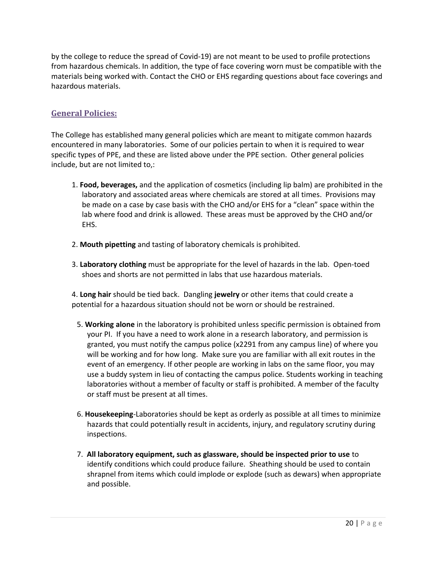by the college to reduce the spread of Covid-19) are not meant to be used to profile protections from hazardous chemicals. In addition, the type of face covering worn must be compatible with the materials being worked with. Contact the CHO or EHS regarding questions about face coverings and hazardous materials.

# <span id="page-20-0"></span>**General Policies:**

The College has established many general policies which are meant to mitigate common hazards encountered in many laboratories. Some of our policies pertain to when it is required to wear specific types of PPE, and these are listed above under the PPE section. Other general policies include, but are not limited to,:

- 1. **Food, beverages,** and the application of cosmetics (including lip balm) are prohibited in the laboratory and associated areas where chemicals are stored at all times. Provisions may be made on a case by case basis with the CHO and/or EHS for a "clean" space within the lab where food and drink is allowed. These areas must be approved by the CHO and/or EHS.
- 2. **Mouth pipetting** and tasting of laboratory chemicals is prohibited.
- 3. **Laboratory clothing** must be appropriate for the level of hazards in the lab. Open-toed shoes and shorts are not permitted in labs that use hazardous materials.

4. **Long hair** should be tied back. Dangling **jewelry** or other items that could create a potential for a hazardous situation should not be worn or should be restrained.

- 5. **Working alone** in the laboratory is prohibited unless specific permission is obtained from your PI. If you have a need to work alone in a research laboratory, and permission is granted, you must notify the campus police (x2291 from any campus line) of where you will be working and for how long. Make sure you are familiar with all exit routes in the event of an emergency. If other people are working in labs on the same floor, you may use a buddy system in lieu of contacting the campus police. Students working in teaching laboratories without a member of faculty or staff is prohibited. A member of the faculty or staff must be present at all times.
- 6. **Housekeeping**-Laboratories should be kept as orderly as possible at all times to minimize hazards that could potentially result in accidents, injury, and regulatory scrutiny during inspections.
- 7. **All laboratory equipment, such as glassware, should be inspected prior to use** to identify conditions which could produce failure. Sheathing should be used to contain shrapnel from items which could implode or explode (such as dewars) when appropriate and possible.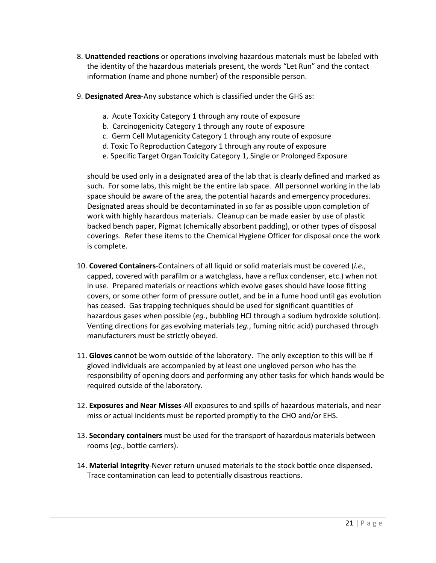- 8. **Unattended reactions** or operations involving hazardous materials must be labeled with the identity of the hazardous materials present, the words "Let Run" and the contact information (name and phone number) of the responsible person.
- 9. **Designated Area**-Any substance which is classified under the GHS as:
	- a. Acute Toxicity Category 1 through any route of exposure
	- b. Carcinogenicity Category 1 through any route of exposure
	- c. Germ Cell Mutagenicity Category 1 through any route of exposure
	- d. Toxic To Reproduction Category 1 through any route of exposure
	- e. Specific Target Organ Toxicity Category 1, Single or Prolonged Exposure

should be used only in a designated area of the lab that is clearly defined and marked as such. For some labs, this might be the entire lab space. All personnel working in the lab space should be aware of the area, the potential hazards and emergency procedures. Designated areas should be decontaminated in so far as possible upon completion of work with highly hazardous materials. Cleanup can be made easier by use of plastic backed bench paper, Pigmat (chemically absorbent padding), or other types of disposal coverings. Refer these items to the Chemical Hygiene Officer for disposal once the work is complete.

- 10. **Covered Containers**-Containers of all liquid or solid materials must be covered (*i.e.*, capped, covered with parafilm or a watchglass, have a reflux condenser, etc.) when not in use. Prepared materials or reactions which evolve gases should have loose fitting covers, or some other form of pressure outlet, and be in a fume hood until gas evolution has ceased. Gas trapping techniques should be used for significant quantities of hazardous gases when possible (*eg.*, bubbling HCl through a sodium hydroxide solution). Venting directions for gas evolving materials (*eg.*, fuming nitric acid) purchased through manufacturers must be strictly obeyed.
- 11. **Gloves** cannot be worn outside of the laboratory. The only exception to this will be if gloved individuals are accompanied by at least one ungloved person who has the responsibility of opening doors and performing any other tasks for which hands would be required outside of the laboratory.
- 12. **Exposures and Near Misses**-All exposures to and spills of hazardous materials, and near miss or actual incidents must be reported promptly to the CHO and/or EHS.
- 13. **Secondary containers** must be used for the transport of hazardous materials between rooms (*eg.*, bottle carriers).
- 14. **Material Integrity**-Never return unused materials to the stock bottle once dispensed. Trace contamination can lead to potentially disastrous reactions.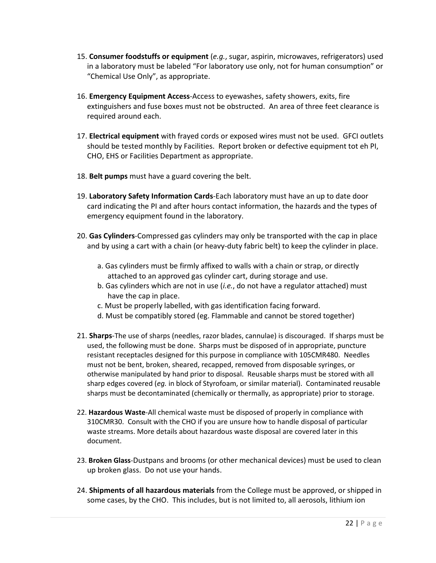- 15. **Consumer foodstuffs or equipment** (*e.g.*, sugar, aspirin, microwaves, refrigerators) used in a laboratory must be labeled "For laboratory use only, not for human consumption" or "Chemical Use Only", as appropriate.
- 16. **Emergency Equipment Access**-Access to eyewashes, safety showers, exits, fire extinguishers and fuse boxes must not be obstructed. An area of three feet clearance is required around each.
- 17. **Electrical equipment** with frayed cords or exposed wires must not be used. GFCI outlets should be tested monthly by Facilities. Report broken or defective equipment tot eh PI, CHO, EHS or Facilities Department as appropriate.
- 18. **Belt pumps** must have a guard covering the belt.
- 19. **Laboratory Safety Information Cards**-Each laboratory must have an up to date door card indicating the PI and after hours contact information, the hazards and the types of emergency equipment found in the laboratory.
- 20. **Gas Cylinders**-Compressed gas cylinders may only be transported with the cap in place and by using a cart with a chain (or heavy-duty fabric belt) to keep the cylinder in place.
	- a. Gas cylinders must be firmly affixed to walls with a chain or strap, or directly attached to an approved gas cylinder cart, during storage and use.
	- b. Gas cylinders which are not in use (*i.e.*, do not have a regulator attached) must have the cap in place.
	- c. Must be properly labelled, with gas identification facing forward.
	- d. Must be compatibly stored (eg. Flammable and cannot be stored together)
- 21. **Sharps**-The use of sharps (needles, razor blades, cannulae) is discouraged. If sharps must be used, the following must be done. Sharps must be disposed of in appropriate, puncture resistant receptacles designed for this purpose in compliance with 105CMR480. Needles must not be bent, broken, sheared, recapped, removed from disposable syringes, or otherwise manipulated by hand prior to disposal. Reusable sharps must be stored with all sharp edges covered (*eg.* in block of Styrofoam, or similar material). Contaminated reusable sharps must be decontaminated (chemically or thermally, as appropriate) prior to storage.
- 22. **Hazardous Waste**-All chemical waste must be disposed of properly in compliance with 310CMR30. Consult with the CHO if you are unsure how to handle disposal of particular waste streams. More details about hazardous waste disposal are covered later in this document.
- 23. **Broken Glass**-Dustpans and brooms (or other mechanical devices) must be used to clean up broken glass. Do not use your hands.
- 24. **Shipments of all hazardous materials** from the College must be approved, or shipped in some cases, by the CHO. This includes, but is not limited to, all aerosols, lithium ion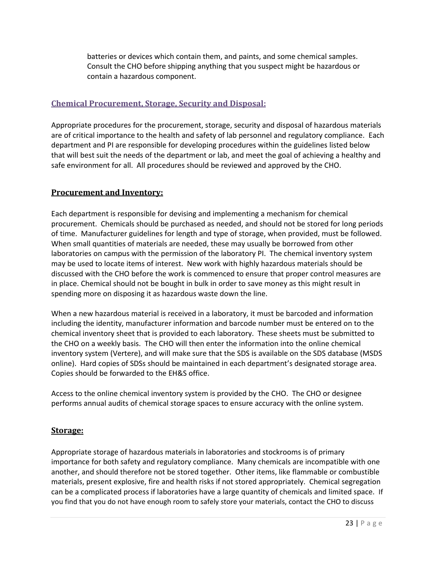batteries or devices which contain them, and paints, and some chemical samples. Consult the CHO before shipping anything that you suspect might be hazardous or contain a hazardous component.

# <span id="page-23-0"></span>**Chemical Procurement, Storage, Security and Disposal:**

Appropriate procedures for the procurement, storage, security and disposal of hazardous materials are of critical importance to the health and safety of lab personnel and regulatory compliance. Each department and PI are responsible for developing procedures within the guidelines listed below that will best suit the needs of the department or lab, and meet the goal of achieving a healthy and safe environment for all. All procedures should be reviewed and approved by the CHO.

# <span id="page-23-1"></span>**Procurement and Inventory:**

Each department is responsible for devising and implementing a mechanism for chemical procurement. Chemicals should be purchased as needed, and should not be stored for long periods of time. Manufacturer guidelines for length and type of storage, when provided, must be followed. When small quantities of materials are needed, these may usually be borrowed from other laboratories on campus with the permission of the laboratory PI. The chemical inventory system may be used to locate items of interest. New work with highly hazardous materials should be discussed with the CHO before the work is commenced to ensure that proper control measures are in place. Chemical should not be bought in bulk in order to save money as this might result in spending more on disposing it as hazardous waste down the line.

When a new hazardous material is received in a laboratory, it must be barcoded and information including the identity, manufacturer information and barcode number must be entered on to the chemical inventory sheet that is provided to each laboratory. These sheets must be submitted to the CHO on a weekly basis. The CHO will then enter the information into the online chemical inventory system (Vertere), and will make sure that the SDS is available on the SDS database (MSDS online). Hard copies of SDSs should be maintained in each department's designated storage area. Copies should be forwarded to the EH&S office.

Access to the online chemical inventory system is provided by the CHO. The CHO or designee performs annual audits of chemical storage spaces to ensure accuracy with the online system.

# <span id="page-23-2"></span>**Storage:**

Appropriate storage of hazardous materials in laboratories and stockrooms is of primary importance for both safety and regulatory compliance. Many chemicals are incompatible with one another, and should therefore not be stored together. Other items, like flammable or combustible materials, present explosive, fire and health risks if not stored appropriately. Chemical segregation can be a complicated process if laboratories have a large quantity of chemicals and limited space. If you find that you do not have enough room to safely store your materials, contact the CHO to discuss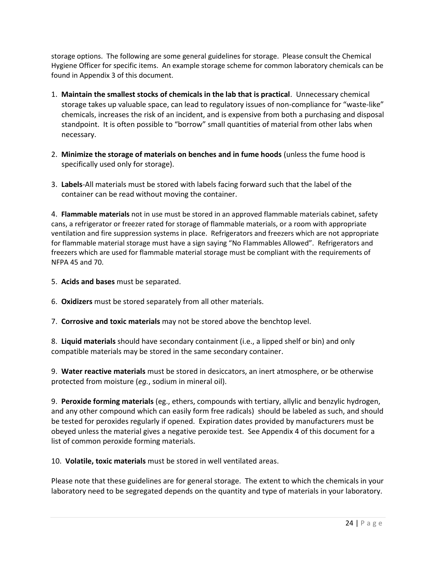storage options. The following are some general guidelines for storage. Please consult the Chemical Hygiene Officer for specific items. An example storage scheme for common laboratory chemicals can be found in Appendix 3 of this document.

- 1. **Maintain the smallest stocks of chemicals in the lab that is practical**. Unnecessary chemical storage takes up valuable space, can lead to regulatory issues of non-compliance for "waste-like" chemicals, increases the risk of an incident, and is expensive from both a purchasing and disposal standpoint. It is often possible to "borrow" small quantities of material from other labs when necessary.
- 2. **Minimize the storage of materials on benches and in fume hoods** (unless the fume hood is specifically used only for storage).
- 3. **Labels**-All materials must be stored with labels facing forward such that the label of the container can be read without moving the container.

4. **Flammable materials** not in use must be stored in an approved flammable materials cabinet, safety cans, a refrigerator or freezer rated for storage of flammable materials, or a room with appropriate ventilation and fire suppression systems in place. Refrigerators and freezers which are not appropriate for flammable material storage must have a sign saying "No Flammables Allowed". Refrigerators and freezers which are used for flammable material storage must be compliant with the requirements of NFPA 45 and 70.

- 5. **Acids and bases** must be separated.
- 6. **Oxidizers** must be stored separately from all other materials.
- 7. **Corrosive and toxic materials** may not be stored above the benchtop level.

8. **Liquid materials** should have secondary containment (i.e., a lipped shelf or bin) and only compatible materials may be stored in the same secondary container.

9. **Water reactive materials** must be stored in desiccators, an inert atmosphere, or be otherwise protected from moisture (*eg.*, sodium in mineral oil).

9. **Peroxide forming materials** (eg., ethers, compounds with tertiary, allylic and benzylic hydrogen, and any other compound which can easily form free radicals) should be labeled as such, and should be tested for peroxides regularly if opened. Expiration dates provided by manufacturers must be obeyed unless the material gives a negative peroxide test. See Appendix 4 of this document for a list of common peroxide forming materials.

10. **Volatile, toxic materials** must be stored in well ventilated areas.

Please note that these guidelines are for general storage. The extent to which the chemicals in your laboratory need to be segregated depends on the quantity and type of materials in your laboratory.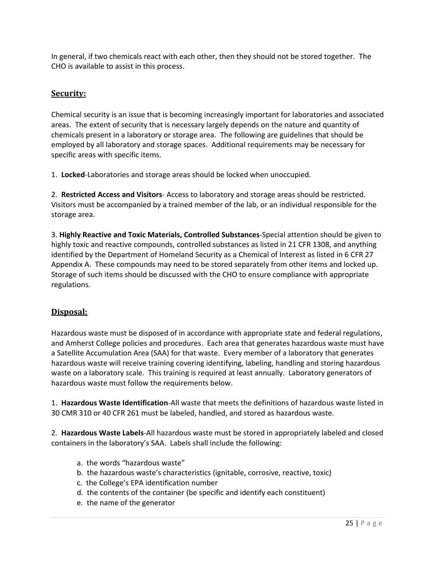In general, if two chemicals react with each other, then they should not be stored together. The CHO is available to assist in this process.

# <span id="page-25-0"></span>**Security:**

Chemical security is an issue that is becoming increasingly important for laboratories and associated areas. The extent of security that is necessary largely depends on the nature and quantity of chemicals present in a laboratory or storage area. The following are guidelines that should be employed by all laboratory and storage spaces. Additional requirements may be necessary for specific areas with specific items.

1. **Locked**-Laboratories and storage areas should be locked when unoccupied.

2. **Restricted Access and Visitors**- Access to laboratory and storage areas should be restricted. Visitors must be accompanied by a trained member of the lab, or an individual responsible for the storage area.

3. **Highly Reactive and Toxic Materials, Controlled Substances**-Special attention should be given to highly toxic and reactive compounds, controlled substances as listed in 21 CFR 1308, and anything identified by the Department of Homeland Security as a Chemical of Interest as listed in 6 CFR 27 Appendix A. These compounds may need to be stored separately from other items and locked up. Storage of such items should be discussed with the CHO to ensure compliance with appropriate regulations.

# <span id="page-25-1"></span>**Disposal:**

Hazardous waste must be disposed of in accordance with appropriate state and federal regulations, and Amherst College policies and procedures. Each area that generates hazardous waste must have a Satellite Accumulation Area (SAA) for that waste. Every member of a laboratory that generates hazardous waste will receive training covering identifying, labeling, handling and storing hazardous waste on a laboratory scale. This training is required at least annually. Laboratory generators of hazardous waste must follow the requirements below.

1. **Hazardous Waste Identification**-All waste that meets the definitions of hazardous waste listed in 30 CMR 310 or 40 CFR 261 must be labeled, handled, and stored as hazardous waste.

2. **Hazardous Waste Labels**-All hazardous waste must be stored in appropriately labeled and closed containers in the laboratory's SAA. Labels shall include the following:

- a. the words "hazardous waste"
- b. the hazardous waste's characteristics (ignitable, corrosive, reactive, toxic)
- c. the College's EPA identification number
- d. the contents of the container (be specific and identify each constituent)
- e. the name of the generator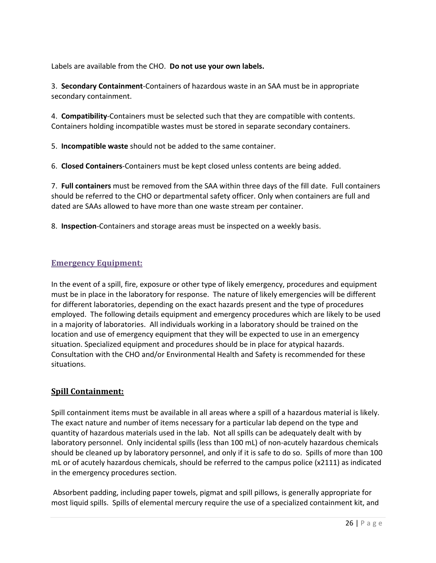Labels are available from the CHO. **Do not use your own labels.**

3. **Secondary Containment**-Containers of hazardous waste in an SAA must be in appropriate secondary containment.

4. **Compatibility**-Containers must be selected such that they are compatible with contents. Containers holding incompatible wastes must be stored in separate secondary containers.

5. **Incompatible waste** should not be added to the same container.

6. **Closed Containers**-Containers must be kept closed unless contents are being added.

7. **Full containers** must be removed from the SAA within three days of the fill date. Full containers should be referred to the CHO or departmental safety officer. Only when containers are full and dated are SAAs allowed to have more than one waste stream per container.

8. **Inspection**-Containers and storage areas must be inspected on a weekly basis.

#### <span id="page-26-0"></span>**Emergency Equipment:**

In the event of a spill, fire, exposure or other type of likely emergency, procedures and equipment must be in place in the laboratory for response. The nature of likely emergencies will be different for different laboratories, depending on the exact hazards present and the type of procedures employed. The following details equipment and emergency procedures which are likely to be used in a majority of laboratories. All individuals working in a laboratory should be trained on the location and use of emergency equipment that they will be expected to use in an emergency situation. Specialized equipment and procedures should be in place for atypical hazards. Consultation with the CHO and/or Environmental Health and Safety is recommended for these situations.

# <span id="page-26-1"></span>**Spill Containment:**

Spill containment items must be available in all areas where a spill of a hazardous material is likely. The exact nature and number of items necessary for a particular lab depend on the type and quantity of hazardous materials used in the lab. Not all spills can be adequately dealt with by laboratory personnel. Only incidental spills (less than 100 mL) of non-acutely hazardous chemicals should be cleaned up by laboratory personnel, and only if it is safe to do so. Spills of more than 100 mL or of acutely hazardous chemicals, should be referred to the campus police (x2111) as indicated in the emergency procedures section.

Absorbent padding, including paper towels, pigmat and spill pillows, is generally appropriate for most liquid spills. Spills of elemental mercury require the use of a specialized containment kit, and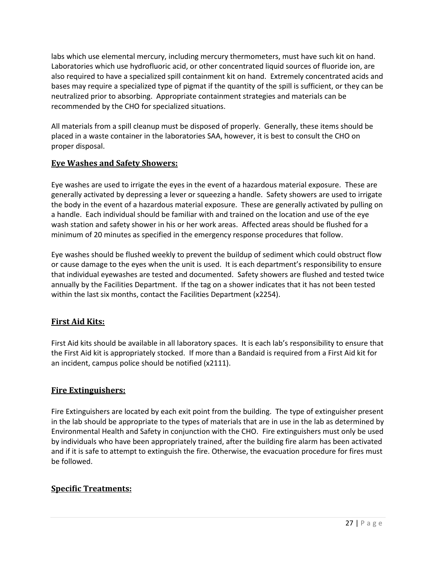labs which use elemental mercury, including mercury thermometers, must have such kit on hand. Laboratories which use hydrofluoric acid, or other concentrated liquid sources of fluoride ion, are also required to have a specialized spill containment kit on hand. Extremely concentrated acids and bases may require a specialized type of pigmat if the quantity of the spill is sufficient, or they can be neutralized prior to absorbing. Appropriate containment strategies and materials can be recommended by the CHO for specialized situations.

All materials from a spill cleanup must be disposed of properly. Generally, these items should be placed in a waste container in the laboratories SAA, however, it is best to consult the CHO on proper disposal.

# <span id="page-27-0"></span>**Eye Washes and Safety Showers:**

Eye washes are used to irrigate the eyes in the event of a hazardous material exposure. These are generally activated by depressing a lever or squeezing a handle. Safety showers are used to irrigate the body in the event of a hazardous material exposure. These are generally activated by pulling on a handle. Each individual should be familiar with and trained on the location and use of the eye wash station and safety shower in his or her work areas. Affected areas should be flushed for a minimum of 20 minutes as specified in the emergency response procedures that follow.

Eye washes should be flushed weekly to prevent the buildup of sediment which could obstruct flow or cause damage to the eyes when the unit is used. It is each department's responsibility to ensure that individual eyewashes are tested and documented. Safety showers are flushed and tested twice annually by the Facilities Department. If the tag on a shower indicates that it has not been tested within the last six months, contact the Facilities Department (x2254).

# <span id="page-27-1"></span>**First Aid Kits:**

First Aid kits should be available in all laboratory spaces. It is each lab's responsibility to ensure that the First Aid kit is appropriately stocked. If more than a Bandaid is required from a First Aid kit for an incident, campus police should be notified (x2111).

# <span id="page-27-2"></span>**Fire Extinguishers:**

Fire Extinguishers are located by each exit point from the building. The type of extinguisher present in the lab should be appropriate to the types of materials that are in use in the lab as determined by Environmental Health and Safety in conjunction with the CHO. Fire extinguishers must only be used by individuals who have been appropriately trained, after the building fire alarm has been activated and if it is safe to attempt to extinguish the fire. Otherwise, the evacuation procedure for fires must be followed.

# <span id="page-27-3"></span>**Specific Treatments:**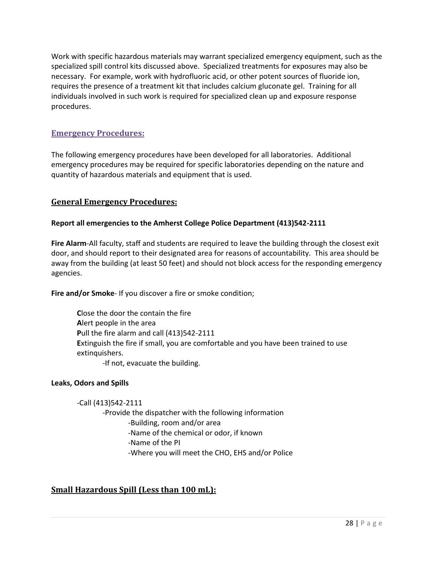Work with specific hazardous materials may warrant specialized emergency equipment, such as the specialized spill control kits discussed above. Specialized treatments for exposures may also be necessary. For example, work with hydrofluoric acid, or other potent sources of fluoride ion, requires the presence of a treatment kit that includes calcium gluconate gel. Training for all individuals involved in such work is required for specialized clean up and exposure response procedures.

# <span id="page-28-0"></span>**Emergency Procedures:**

The following emergency procedures have been developed for all laboratories. Additional emergency procedures may be required for specific laboratories depending on the nature and quantity of hazardous materials and equipment that is used.

#### <span id="page-28-1"></span>**General Emergency Procedures:**

#### **Report all emergencies to the Amherst College Police Department (413)542-2111**

**Fire Alarm**-All faculty, staff and students are required to leave the building through the closest exit door, and should report to their designated area for reasons of accountability. This area should be away from the building (at least 50 feet) and should not block access for the responding emergency agencies.

**Fire and/or Smoke**- If you discover a fire or smoke condition;

**C**lose the door the contain the fire **A**lert people in the area **P**ull the fire alarm and call (413)542-2111 **E**xtinguish the fire if small, you are comfortable and you have been trained to use extinguishers.

-If not, evacuate the building.

#### **Leaks, Odors and Spills**

-Call (413)542-2111 -Provide the dispatcher with the following information -Building, room and/or area -Name of the chemical or odor, if known -Name of the PI -Where you will meet the CHO, EHS and/or Police

# <span id="page-28-2"></span>**Small Hazardous Spill (Less than 100 mL):**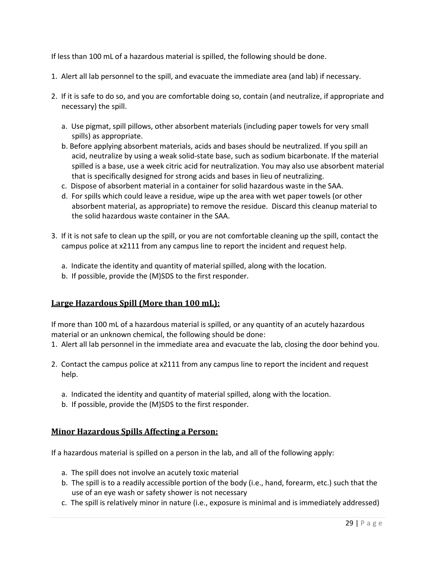If less than 100 mL of a hazardous material is spilled, the following should be done.

- 1. Alert all lab personnel to the spill, and evacuate the immediate area (and lab) if necessary.
- 2. If it is safe to do so, and you are comfortable doing so, contain (and neutralize, if appropriate and necessary) the spill.
	- a. Use pigmat, spill pillows, other absorbent materials (including paper towels for very small spills) as appropriate.
	- b. Before applying absorbent materials, acids and bases should be neutralized. If you spill an acid, neutralize by using a weak solid-state base, such as sodium bicarbonate. If the material spilled is a base, use a week citric acid for neutralization. You may also use absorbent material that is specifically designed for strong acids and bases in lieu of neutralizing.
	- c. Dispose of absorbent material in a container for solid hazardous waste in the SAA.
	- d. For spills which could leave a residue, wipe up the area with wet paper towels (or other absorbent material, as appropriate) to remove the residue. Discard this cleanup material to the solid hazardous waste container in the SAA.
- 3. If it is not safe to clean up the spill, or you are not comfortable cleaning up the spill, contact the campus police at x2111 from any campus line to report the incident and request help.
	- a. Indicate the identity and quantity of material spilled, along with the location.
	- b. If possible, provide the (M)SDS to the first responder.

# <span id="page-29-0"></span>**Large Hazardous Spill (More than 100 mL):**

If more than 100 mL of a hazardous material is spilled, or any quantity of an acutely hazardous material or an unknown chemical, the following should be done:

- 1. Alert all lab personnel in the immediate area and evacuate the lab, closing the door behind you.
- 2. Contact the campus police at x2111 from any campus line to report the incident and request help.
	- a. Indicated the identity and quantity of material spilled, along with the location.
	- b. If possible, provide the (M)SDS to the first responder.

#### <span id="page-29-1"></span>**Minor Hazardous Spills Affecting a Person:**

If a hazardous material is spilled on a person in the lab, and all of the following apply:

- a. The spill does not involve an acutely toxic material
- b. The spill is to a readily accessible portion of the body (i.e., hand, forearm, etc.) such that the use of an eye wash or safety shower is not necessary
- c. The spill is relatively minor in nature (i.e., exposure is minimal and is immediately addressed)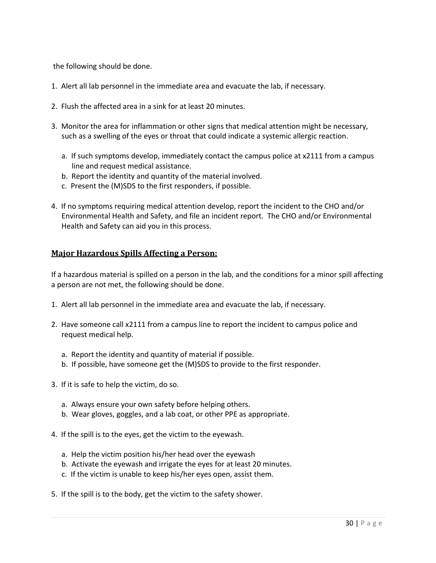the following should be done.

- 1. Alert all lab personnel in the immediate area and evacuate the lab, if necessary.
- 2. Flush the affected area in a sink for at least 20 minutes.
- 3. Monitor the area for inflammation or other signs that medical attention might be necessary, such as a swelling of the eyes or throat that could indicate a systemic allergic reaction.
	- a. If such symptoms develop, immediately contact the campus police at x2111 from a campus line and request medical assistance.
	- b. Report the identity and quantity of the material involved.
	- c. Present the (M)SDS to the first responders, if possible.
- 4. If no symptoms requiring medical attention develop, report the incident to the CHO and/or Environmental Health and Safety, and file an incident report. The CHO and/or Environmental Health and Safety can aid you in this process.

#### <span id="page-30-0"></span>**Major Hazardous Spills Affecting a Person:**

If a hazardous material is spilled on a person in the lab, and the conditions for a minor spill affecting a person are not met, the following should be done.

- 1. Alert all lab personnel in the immediate area and evacuate the lab, if necessary.
- 2. Have someone call x2111 from a campus line to report the incident to campus police and request medical help.
	- a. Report the identity and quantity of material if possible.
	- b. If possible, have someone get the (M)SDS to provide to the first responder.
- 3. If it is safe to help the victim, do so.
	- a. Always ensure your own safety before helping others.
	- b. Wear gloves, goggles, and a lab coat, or other PPE as appropriate.
- 4. If the spill is to the eyes, get the victim to the eyewash.
	- a. Help the victim position his/her head over the eyewash
	- b. Activate the eyewash and irrigate the eyes for at least 20 minutes.
	- c. If the victim is unable to keep his/her eyes open, assist them.
- 5. If the spill is to the body, get the victim to the safety shower.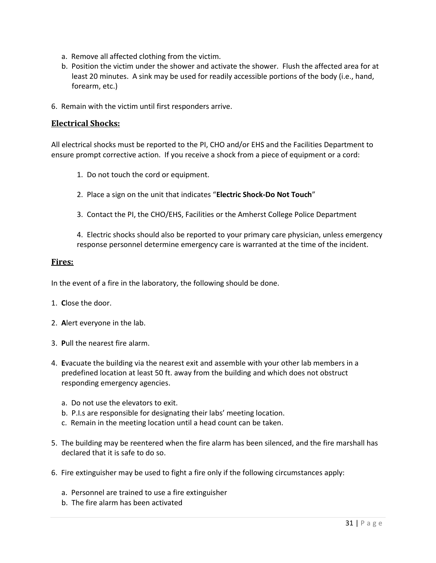- a. Remove all affected clothing from the victim.
- b. Position the victim under the shower and activate the shower. Flush the affected area for at least 20 minutes. A sink may be used for readily accessible portions of the body (i.e., hand, forearm, etc.)
- 6. Remain with the victim until first responders arrive.

#### <span id="page-31-0"></span>**Electrical Shocks:**

All electrical shocks must be reported to the PI, CHO and/or EHS and the Facilities Department to ensure prompt corrective action. If you receive a shock from a piece of equipment or a cord:

- 1. Do not touch the cord or equipment.
- 2. Place a sign on the unit that indicates "**Electric Shock-Do Not Touch**"
- 3. Contact the PI, the CHO/EHS, Facilities or the Amherst College Police Department

4. Electric shocks should also be reported to your primary care physician, unless emergency response personnel determine emergency care is warranted at the time of the incident.

#### <span id="page-31-1"></span>**Fires:**

In the event of a fire in the laboratory, the following should be done.

- 1. **C**lose the door.
- 2. **A**lert everyone in the lab.
- 3. **P**ull the nearest fire alarm.
- 4. **E**vacuate the building via the nearest exit and assemble with your other lab members in a predefined location at least 50 ft. away from the building and which does not obstruct responding emergency agencies.
	- a. Do not use the elevators to exit.
	- b. P.I.s are responsible for designating their labs' meeting location.
	- c. Remain in the meeting location until a head count can be taken.
- 5. The building may be reentered when the fire alarm has been silenced, and the fire marshall has declared that it is safe to do so.
- 6. Fire extinguisher may be used to fight a fire only if the following circumstances apply:
	- a. Personnel are trained to use a fire extinguisher
	- b. The fire alarm has been activated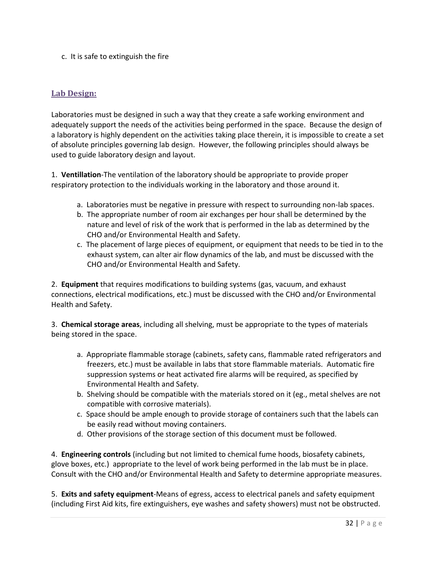c. It is safe to extinguish the fire

# <span id="page-32-0"></span>**Lab Design:**

Laboratories must be designed in such a way that they create a safe working environment and adequately support the needs of the activities being performed in the space. Because the design of a laboratory is highly dependent on the activities taking place therein, it is impossible to create a set of absolute principles governing lab design. However, the following principles should always be used to guide laboratory design and layout.

1. **Ventillation**-The ventilation of the laboratory should be appropriate to provide proper respiratory protection to the individuals working in the laboratory and those around it.

- a. Laboratories must be negative in pressure with respect to surrounding non-lab spaces.
- b. The appropriate number of room air exchanges per hour shall be determined by the nature and level of risk of the work that is performed in the lab as determined by the CHO and/or Environmental Health and Safety.
- c. The placement of large pieces of equipment, or equipment that needs to be tied in to the exhaust system, can alter air flow dynamics of the lab, and must be discussed with the CHO and/or Environmental Health and Safety.

2. **Equipment** that requires modifications to building systems (gas, vacuum, and exhaust connections, electrical modifications, etc.) must be discussed with the CHO and/or Environmental Health and Safety.

3. **Chemical storage areas**, including all shelving, must be appropriate to the types of materials being stored in the space.

- a. Appropriate flammable storage (cabinets, safety cans, flammable rated refrigerators and freezers, etc.) must be available in labs that store flammable materials. Automatic fire suppression systems or heat activated fire alarms will be required, as specified by Environmental Health and Safety.
- b. Shelving should be compatible with the materials stored on it (eg., metal shelves are not compatible with corrosive materials).
- c. Space should be ample enough to provide storage of containers such that the labels can be easily read without moving containers.
- d. Other provisions of the storage section of this document must be followed.

4. **Engineering controls** (including but not limited to chemical fume hoods, biosafety cabinets, glove boxes, etc.) appropriate to the level of work being performed in the lab must be in place. Consult with the CHO and/or Environmental Health and Safety to determine appropriate measures.

5. **Exits and safety equipment**-Means of egress, access to electrical panels and safety equipment (including First Aid kits, fire extinguishers, eye washes and safety showers) must not be obstructed.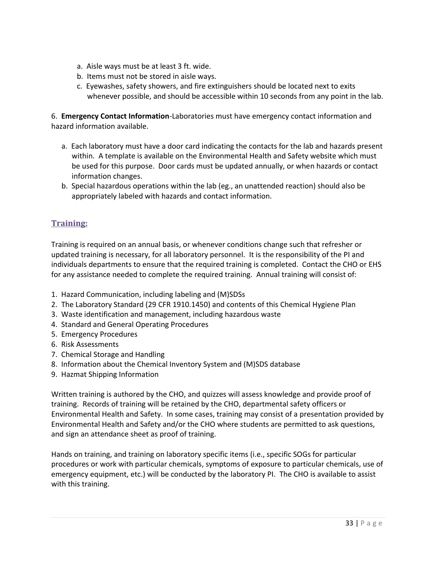- a. Aisle ways must be at least 3 ft. wide.
- b. Items must not be stored in aisle ways.
- c. Eyewashes, safety showers, and fire extinguishers should be located next to exits whenever possible, and should be accessible within 10 seconds from any point in the lab.

6. **Emergency Contact Information**-Laboratories must have emergency contact information and hazard information available.

- a. Each laboratory must have a door card indicating the contacts for the lab and hazards present within. A template is available on the Environmental Health and Safety website which must be used for this purpose. Door cards must be updated annually, or when hazards or contact information changes.
- b. Special hazardous operations within the lab (eg., an unattended reaction) should also be appropriately labeled with hazards and contact information.

# <span id="page-33-0"></span>**Training:**

Training is required on an annual basis, or whenever conditions change such that refresher or updated training is necessary, for all laboratory personnel. It is the responsibility of the PI and individuals departments to ensure that the required training is completed. Contact the CHO or EHS for any assistance needed to complete the required training. Annual training will consist of:

- 1. Hazard Communication, including labeling and (M)SDSs
- 2. The Laboratory Standard (29 CFR 1910.1450) and contents of this Chemical Hygiene Plan
- 3. Waste identification and management, including hazardous waste
- 4. Standard and General Operating Procedures
- 5. Emergency Procedures
- 6. Risk Assessments
- 7. Chemical Storage and Handling
- 8. Information about the Chemical Inventory System and (M)SDS database
- 9. Hazmat Shipping Information

Written training is authored by the CHO, and quizzes will assess knowledge and provide proof of training. Records of training will be retained by the CHO, departmental safety officers or Environmental Health and Safety. In some cases, training may consist of a presentation provided by Environmental Health and Safety and/or the CHO where students are permitted to ask questions, and sign an attendance sheet as proof of training.

Hands on training, and training on laboratory specific items (i.e., specific SOGs for particular procedures or work with particular chemicals, symptoms of exposure to particular chemicals, use of emergency equipment, etc.) will be conducted by the laboratory PI. The CHO is available to assist with this training.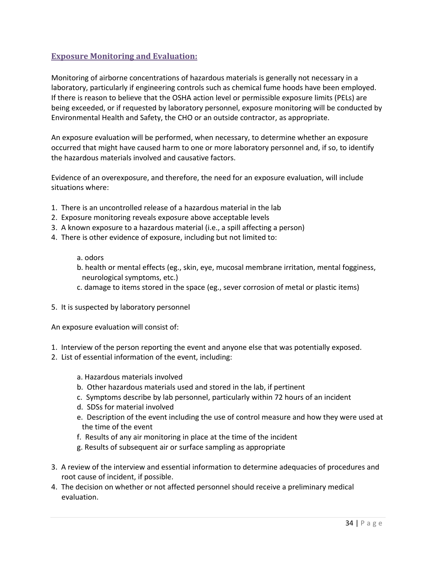# <span id="page-34-0"></span>**Exposure Monitoring and Evaluation:**

Monitoring of airborne concentrations of hazardous materials is generally not necessary in a laboratory, particularly if engineering controls such as chemical fume hoods have been employed. If there is reason to believe that the OSHA action level or permissible exposure limits (PELs) are being exceeded, or if requested by laboratory personnel, exposure monitoring will be conducted by Environmental Health and Safety, the CHO or an outside contractor, as appropriate.

An exposure evaluation will be performed, when necessary, to determine whether an exposure occurred that might have caused harm to one or more laboratory personnel and, if so, to identify the hazardous materials involved and causative factors.

Evidence of an overexposure, and therefore, the need for an exposure evaluation, will include situations where:

- 1. There is an uncontrolled release of a hazardous material in the lab
- 2. Exposure monitoring reveals exposure above acceptable levels
- 3. A known exposure to a hazardous material (i.e., a spill affecting a person)
- 4. There is other evidence of exposure, including but not limited to:

#### a. odors

- b. health or mental effects (eg., skin, eye, mucosal membrane irritation, mental fogginess, neurological symptoms, etc.)
- c. damage to items stored in the space (eg., sever corrosion of metal or plastic items)
- 5. It is suspected by laboratory personnel

An exposure evaluation will consist of:

- 1. Interview of the person reporting the event and anyone else that was potentially exposed.
- 2. List of essential information of the event, including:
	- a. Hazardous materials involved
	- b. Other hazardous materials used and stored in the lab, if pertinent
	- c. Symptoms describe by lab personnel, particularly within 72 hours of an incident
	- d. SDSs for material involved
	- e. Description of the event including the use of control measure and how they were used at the time of the event
	- f. Results of any air monitoring in place at the time of the incident
	- g. Results of subsequent air or surface sampling as appropriate
- 3. A review of the interview and essential information to determine adequacies of procedures and root cause of incident, if possible.
- 4. The decision on whether or not affected personnel should receive a preliminary medical evaluation.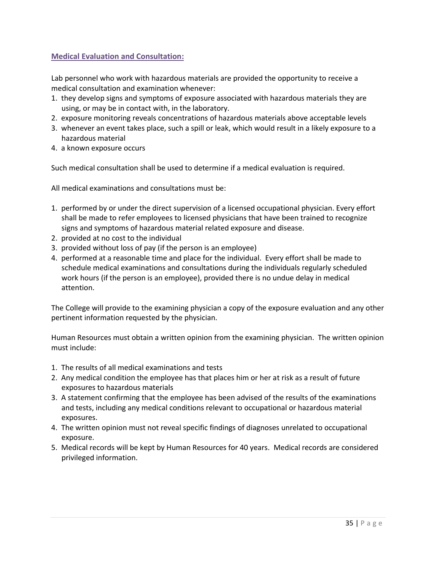# <span id="page-35-0"></span>**Medical Evaluation and Consultation:**

Lab personnel who work with hazardous materials are provided the opportunity to receive a medical consultation and examination whenever:

- 1. they develop signs and symptoms of exposure associated with hazardous materials they are using, or may be in contact with, in the laboratory.
- 2. exposure monitoring reveals concentrations of hazardous materials above acceptable levels
- 3. whenever an event takes place, such a spill or leak, which would result in a likely exposure to a hazardous material
- 4. a known exposure occurs

Such medical consultation shall be used to determine if a medical evaluation is required.

All medical examinations and consultations must be:

- 1. performed by or under the direct supervision of a licensed occupational physician. Every effort shall be made to refer employees to licensed physicians that have been trained to recognize signs and symptoms of hazardous material related exposure and disease.
- 2. provided at no cost to the individual
- 3. provided without loss of pay (if the person is an employee)
- 4. performed at a reasonable time and place for the individual. Every effort shall be made to schedule medical examinations and consultations during the individuals regularly scheduled work hours (if the person is an employee), provided there is no undue delay in medical attention.

The College will provide to the examining physician a copy of the exposure evaluation and any other pertinent information requested by the physician.

Human Resources must obtain a written opinion from the examining physician. The written opinion must include:

- 1. The results of all medical examinations and tests
- 2. Any medical condition the employee has that places him or her at risk as a result of future exposures to hazardous materials
- 3. A statement confirming that the employee has been advised of the results of the examinations and tests, including any medical conditions relevant to occupational or hazardous material exposures.
- 4. The written opinion must not reveal specific findings of diagnoses unrelated to occupational exposure.
- 5. Medical records will be kept by Human Resources for 40 years. Medical records are considered privileged information.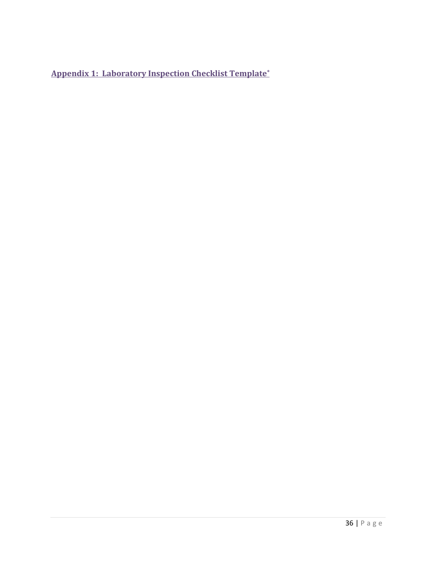<span id="page-36-0"></span>**Appendix 1: Laboratory Inspection Checklist Template\***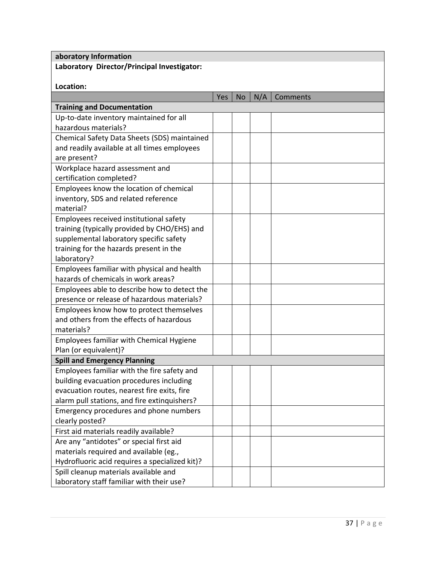| aboratory Information                          |     |           |     |          |
|------------------------------------------------|-----|-----------|-----|----------|
| Laboratory Director/Principal Investigator:    |     |           |     |          |
|                                                |     |           |     |          |
| Location:                                      |     |           |     |          |
|                                                | Yes | <b>No</b> | N/A | Comments |
| <b>Training and Documentation</b>              |     |           |     |          |
| Up-to-date inventory maintained for all        |     |           |     |          |
| hazardous materials?                           |     |           |     |          |
| Chemical Safety Data Sheets (SDS) maintained   |     |           |     |          |
| and readily available at all times employees   |     |           |     |          |
| are present?                                   |     |           |     |          |
| Workplace hazard assessment and                |     |           |     |          |
| certification completed?                       |     |           |     |          |
| Employees know the location of chemical        |     |           |     |          |
| inventory, SDS and related reference           |     |           |     |          |
| material?                                      |     |           |     |          |
| Employees received institutional safety        |     |           |     |          |
| training (typically provided by CHO/EHS) and   |     |           |     |          |
| supplemental laboratory specific safety        |     |           |     |          |
| training for the hazards present in the        |     |           |     |          |
| laboratory?                                    |     |           |     |          |
| Employees familiar with physical and health    |     |           |     |          |
| hazards of chemicals in work areas?            |     |           |     |          |
| Employees able to describe how to detect the   |     |           |     |          |
| presence or release of hazardous materials?    |     |           |     |          |
| Employees know how to protect themselves       |     |           |     |          |
| and others from the effects of hazardous       |     |           |     |          |
| materials?                                     |     |           |     |          |
| Employees familiar with Chemical Hygiene       |     |           |     |          |
| Plan (or equivalent)?                          |     |           |     |          |
| <b>Spill and Emergency Planning</b>            |     |           |     |          |
| Employees familiar with the fire safety and    |     |           |     |          |
| building evacuation procedures including       |     |           |     |          |
| evacuation routes, nearest fire exits, fire    |     |           |     |          |
| alarm pull stations, and fire extinquishers?   |     |           |     |          |
| Emergency procedures and phone numbers         |     |           |     |          |
| clearly posted?                                |     |           |     |          |
| First aid materials readily available?         |     |           |     |          |
| Are any "antidotes" or special first aid       |     |           |     |          |
| materials required and available (eg.,         |     |           |     |          |
| Hydrofluoric acid requires a specialized kit)? |     |           |     |          |
| Spill cleanup materials available and          |     |           |     |          |
| laboratory staff familiar with their use?      |     |           |     |          |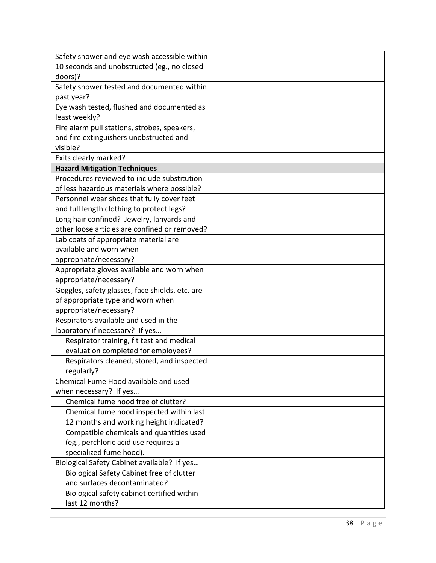| Safety shower and eye wash accessible within    |  |
|-------------------------------------------------|--|
| 10 seconds and unobstructed (eg., no closed     |  |
| doors)?                                         |  |
| Safety shower tested and documented within      |  |
| past year?                                      |  |
| Eye wash tested, flushed and documented as      |  |
| least weekly?                                   |  |
| Fire alarm pull stations, strobes, speakers,    |  |
| and fire extinguishers unobstructed and         |  |
| visible?                                        |  |
| Exits clearly marked?                           |  |
| <b>Hazard Mitigation Techniques</b>             |  |
| Procedures reviewed to include substitution     |  |
| of less hazardous materials where possible?     |  |
| Personnel wear shoes that fully cover feet      |  |
| and full length clothing to protect legs?       |  |
| Long hair confined? Jewelry, lanyards and       |  |
| other loose articles are confined or removed?   |  |
| Lab coats of appropriate material are           |  |
| available and worn when                         |  |
| appropriate/necessary?                          |  |
| Appropriate gloves available and worn when      |  |
| appropriate/necessary?                          |  |
| Goggles, safety glasses, face shields, etc. are |  |
| of appropriate type and worn when               |  |
| appropriate/necessary?                          |  |
| Respirators available and used in the           |  |
| laboratory if necessary? If yes                 |  |
| Respirator training, fit test and medical       |  |
| evaluation completed for employees?             |  |
| Respirators cleaned, stored, and inspected      |  |
| regularly?                                      |  |
| Chemical Fume Hood available and used           |  |
| when necessary? If yes                          |  |
| Chemical fume hood free of clutter?             |  |
| Chemical fume hood inspected within last        |  |
| 12 months and working height indicated?         |  |
| Compatible chemicals and quantities used        |  |
| (eg., perchloric acid use requires a            |  |
| specialized fume hood).                         |  |
| Biological Safety Cabinet available? If yes     |  |
| Biological Safety Cabinet free of clutter       |  |
| and surfaces decontaminated?                    |  |
| Biological safety cabinet certified within      |  |
| last 12 months?                                 |  |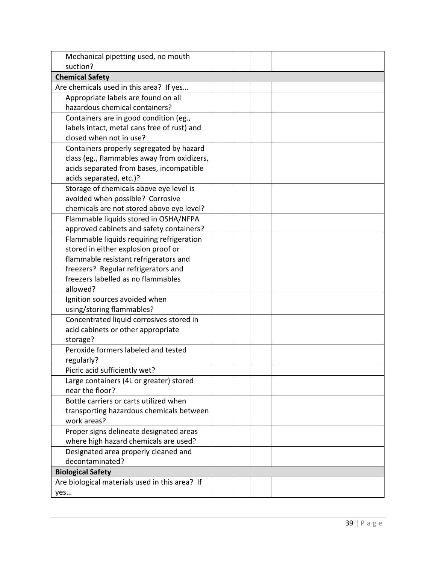| Mechanical pipetting used, no mouth            |  |  |
|------------------------------------------------|--|--|
| suction?                                       |  |  |
| <b>Chemical Safety</b>                         |  |  |
| Are chemicals used in this area? If yes        |  |  |
| Appropriate labels are found on all            |  |  |
| hazardous chemical containers?                 |  |  |
| Containers are in good condition (eg.,         |  |  |
| labels intact, metal cans free of rust) and    |  |  |
| closed when not in use?                        |  |  |
| Containers properly segregated by hazard       |  |  |
| class (eg., flammables away from oxidizers,    |  |  |
| acids separated from bases, incompatible       |  |  |
| acids separated, etc.)?                        |  |  |
| Storage of chemicals above eye level is        |  |  |
| avoided when possible? Corrosive               |  |  |
| chemicals are not stored above eye level?      |  |  |
| Flammable liquids stored in OSHA/NFPA          |  |  |
| approved cabinets and safety containers?       |  |  |
| Flammable liquids requiring refrigeration      |  |  |
| stored in either explosion proof or            |  |  |
| flammable resistant refrigerators and          |  |  |
| freezers? Regular refrigerators and            |  |  |
| freezers labelled as no flammables             |  |  |
| allowed?                                       |  |  |
| Ignition sources avoided when                  |  |  |
| using/storing flammables?                      |  |  |
| Concentrated liquid corrosives stored in       |  |  |
| acid cabinets or other appropriate             |  |  |
| storage?                                       |  |  |
| Peroxide formers labeled and tested            |  |  |
| regularly?                                     |  |  |
| Picric acid sufficiently wet?                  |  |  |
| Large containers (4L or greater) stored        |  |  |
| near the floor?                                |  |  |
| Bottle carriers or carts utilized when         |  |  |
| transporting hazardous chemicals between       |  |  |
| work areas?                                    |  |  |
| Proper signs delineate designated areas        |  |  |
| where high hazard chemicals are used?          |  |  |
| Designated area properly cleaned and           |  |  |
| decontaminated?                                |  |  |
| <b>Biological Safety</b>                       |  |  |
| Are biological materials used in this area? If |  |  |
| yes                                            |  |  |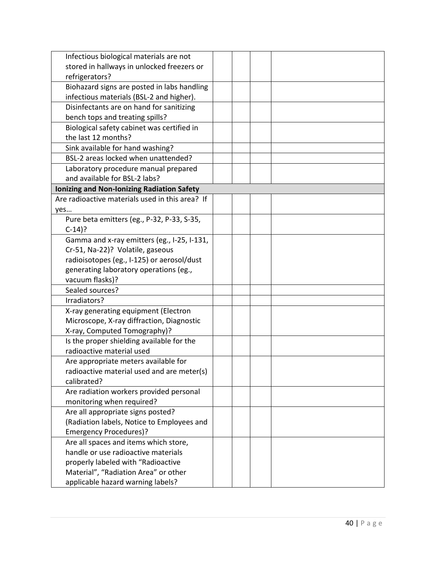| Infectious biological materials are not           |  |  |
|---------------------------------------------------|--|--|
| stored in hallways in unlocked freezers or        |  |  |
| refrigerators?                                    |  |  |
| Biohazard signs are posted in labs handling       |  |  |
| infectious materials (BSL-2 and higher).          |  |  |
| Disinfectants are on hand for sanitizing          |  |  |
| bench tops and treating spills?                   |  |  |
| Biological safety cabinet was certified in        |  |  |
| the last 12 months?                               |  |  |
| Sink available for hand washing?                  |  |  |
| BSL-2 areas locked when unattended?               |  |  |
| Laboratory procedure manual prepared              |  |  |
| and available for BSL-2 labs?                     |  |  |
| <b>Ionizing and Non-Ionizing Radiation Safety</b> |  |  |
| Are radioactive materials used in this area? If   |  |  |
| yes                                               |  |  |
| Pure beta emitters (eg., P-32, P-33, S-35,        |  |  |
| $C-14$ ?                                          |  |  |
| Gamma and x-ray emitters (eg., I-25, I-131,       |  |  |
| Cr-51, Na-22)? Volatile, gaseous                  |  |  |
| radioisotopes (eg., I-125) or aerosol/dust        |  |  |
| generating laboratory operations (eg.,            |  |  |
| vacuum flasks)?                                   |  |  |
| Sealed sources?                                   |  |  |
| Irradiators?                                      |  |  |
| X-ray generating equipment (Electron              |  |  |
| Microscope, X-ray diffraction, Diagnostic         |  |  |
| X-ray, Computed Tomography)?                      |  |  |
| Is the proper shielding available for the         |  |  |
| radioactive material used                         |  |  |
| Are appropriate meters available for              |  |  |
| radioactive material used and are meter(s)        |  |  |
| calibrated?                                       |  |  |
| Are radiation workers provided personal           |  |  |
| monitoring when required?                         |  |  |
| Are all appropriate signs posted?                 |  |  |
| (Radiation labels, Notice to Employees and        |  |  |
| <b>Emergency Procedures)?</b>                     |  |  |
| Are all spaces and items which store,             |  |  |
| handle or use radioactive materials               |  |  |
| properly labeled with "Radioactive                |  |  |
| Material", "Radiation Area" or other              |  |  |
| applicable hazard warning labels?                 |  |  |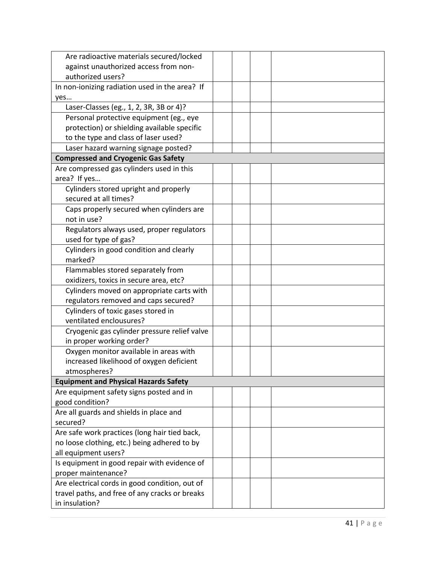| Are radioactive materials secured/locked       |  |
|------------------------------------------------|--|
| against unauthorized access from non-          |  |
| authorized users?                              |  |
| In non-ionizing radiation used in the area? If |  |
| yes                                            |  |
| Laser-Classes (eg., 1, 2, 3R, 3B or 4)?        |  |
| Personal protective equipment (eg., eye        |  |
| protection) or shielding available specific    |  |
| to the type and class of laser used?           |  |
| Laser hazard warning signage posted?           |  |
| <b>Compressed and Cryogenic Gas Safety</b>     |  |
| Are compressed gas cylinders used in this      |  |
| area? If yes                                   |  |
| Cylinders stored upright and properly          |  |
| secured at all times?                          |  |
| Caps properly secured when cylinders are       |  |
| not in use?                                    |  |
| Regulators always used, proper regulators      |  |
| used for type of gas?                          |  |
| Cylinders in good condition and clearly        |  |
| marked?                                        |  |
| Flammables stored separately from              |  |
| oxidizers, toxics in secure area, etc?         |  |
| Cylinders moved on appropriate carts with      |  |
| regulators removed and caps secured?           |  |
| Cylinders of toxic gases stored in             |  |
| ventilated enclousures?                        |  |
| Cryogenic gas cylinder pressure relief valve   |  |
| in proper working order?                       |  |
| Oxygen monitor available in areas with         |  |
| increased likelihood of oxygen deficient       |  |
| atmospheres?                                   |  |
| <b>Equipment and Physical Hazards Safety</b>   |  |
| Are equipment safety signs posted and in       |  |
| good condition?                                |  |
| Are all guards and shields in place and        |  |
| secured?                                       |  |
| Are safe work practices (long hair tied back,  |  |
| no loose clothing, etc.) being adhered to by   |  |
| all equipment users?                           |  |
| Is equipment in good repair with evidence of   |  |
| proper maintenance?                            |  |
| Are electrical cords in good condition, out of |  |
| travel paths, and free of any cracks or breaks |  |
| in insulation?                                 |  |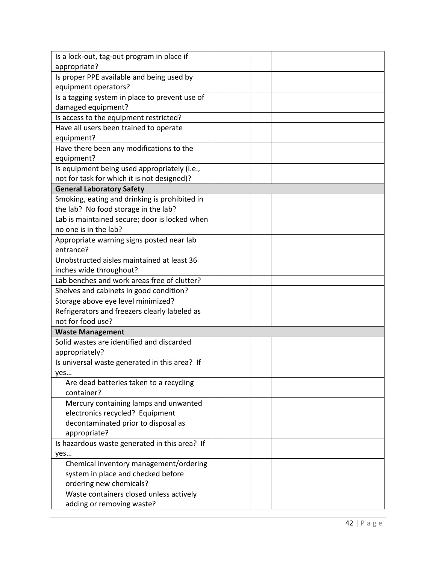| Is a lock-out, tag-out program in place if                           |  |
|----------------------------------------------------------------------|--|
| appropriate?                                                         |  |
| Is proper PPE available and being used by                            |  |
| equipment operators?                                                 |  |
| Is a tagging system in place to prevent use of                       |  |
| damaged equipment?                                                   |  |
| Is access to the equipment restricted?                               |  |
| Have all users been trained to operate                               |  |
| equipment?                                                           |  |
| Have there been any modifications to the                             |  |
| equipment?                                                           |  |
| Is equipment being used appropriately (i.e.,                         |  |
| not for task for which it is not designed)?                          |  |
| <b>General Laboratory Safety</b>                                     |  |
| Smoking, eating and drinking is prohibited in                        |  |
| the lab? No food storage in the lab?                                 |  |
| Lab is maintained secure; door is locked when                        |  |
| no one is in the lab?                                                |  |
| Appropriate warning signs posted near lab                            |  |
| entrance?                                                            |  |
| Unobstructed aisles maintained at least 36                           |  |
| inches wide throughout?                                              |  |
| Lab benches and work areas free of clutter?                          |  |
| Shelves and cabinets in good condition?                              |  |
| Storage above eye level minimized?                                   |  |
| Refrigerators and freezers clearly labeled as<br>not for food use?   |  |
|                                                                      |  |
| <b>Waste Management</b><br>Solid wastes are identified and discarded |  |
| appropriately?                                                       |  |
| Is universal waste generated in this area? If                        |  |
| yes                                                                  |  |
| Are dead batteries taken to a recycling                              |  |
| container?                                                           |  |
| Mercury containing lamps and unwanted                                |  |
| electronics recycled? Equipment                                      |  |
| decontaminated prior to disposal as                                  |  |
| appropriate?                                                         |  |
| Is hazardous waste generated in this area? If                        |  |
| yes                                                                  |  |
| Chemical inventory management/ordering                               |  |
| system in place and checked before                                   |  |
| ordering new chemicals?                                              |  |
| Waste containers closed unless actively                              |  |
| adding or removing waste?                                            |  |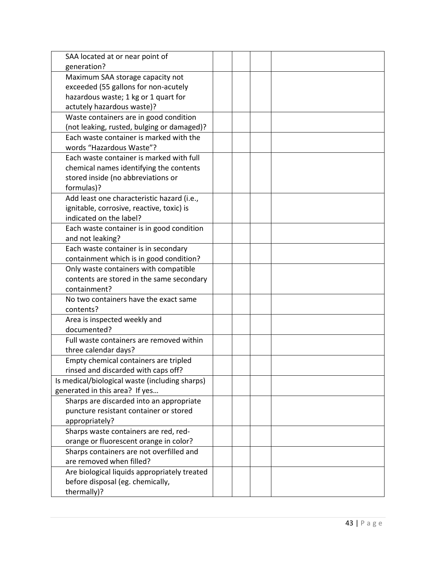| SAA located at or near point of                |  |  |
|------------------------------------------------|--|--|
| generation?                                    |  |  |
| Maximum SAA storage capacity not               |  |  |
| exceeded (55 gallons for non-acutely           |  |  |
| hazardous waste; 1 kg or 1 quart for           |  |  |
| actutely hazardous waste)?                     |  |  |
| Waste containers are in good condition         |  |  |
| (not leaking, rusted, bulging or damaged)?     |  |  |
| Each waste container is marked with the        |  |  |
| words "Hazardous Waste"?                       |  |  |
| Each waste container is marked with full       |  |  |
| chemical names identifying the contents        |  |  |
| stored inside (no abbreviations or             |  |  |
| formulas)?                                     |  |  |
| Add least one characteristic hazard (i.e.,     |  |  |
| ignitable, corrosive, reactive, toxic) is      |  |  |
| indicated on the label?                        |  |  |
| Each waste container is in good condition      |  |  |
| and not leaking?                               |  |  |
| Each waste container is in secondary           |  |  |
| containment which is in good condition?        |  |  |
| Only waste containers with compatible          |  |  |
| contents are stored in the same secondary      |  |  |
| containment?                                   |  |  |
| No two containers have the exact same          |  |  |
| contents?                                      |  |  |
| Area is inspected weekly and                   |  |  |
| documented?                                    |  |  |
| Full waste containers are removed within       |  |  |
| three calendar days?                           |  |  |
| Empty chemical containers are tripled          |  |  |
| rinsed and discarded with caps off?            |  |  |
| Is medical/biological waste (including sharps) |  |  |
| generated in this area? If yes                 |  |  |
| Sharps are discarded into an appropriate       |  |  |
| puncture resistant container or stored         |  |  |
| appropriately?                                 |  |  |
| Sharps waste containers are red, red-          |  |  |
| orange or fluorescent orange in color?         |  |  |
| Sharps containers are not overfilled and       |  |  |
| are removed when filled?                       |  |  |
| Are biological liquids appropriately treated   |  |  |
| before disposal (eg. chemically,               |  |  |
| thermally)?                                    |  |  |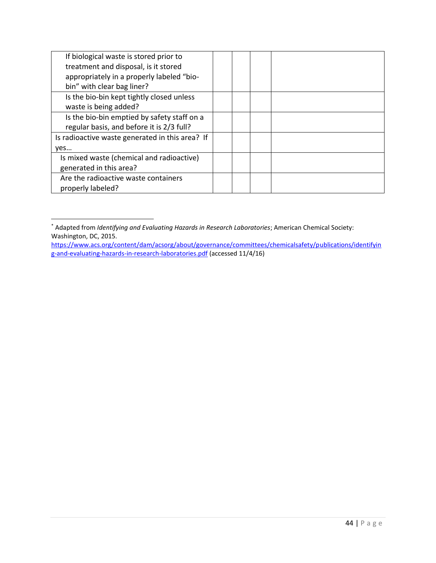| If biological waste is stored prior to          |  |  |
|-------------------------------------------------|--|--|
| treatment and disposal, is it stored            |  |  |
| appropriately in a properly labeled "bio-       |  |  |
| bin" with clear bag liner?                      |  |  |
| Is the bio-bin kept tightly closed unless       |  |  |
| waste is being added?                           |  |  |
| Is the bio-bin emptied by safety staff on a     |  |  |
| regular basis, and before it is 2/3 full?       |  |  |
| Is radioactive waste generated in this area? If |  |  |
| yes                                             |  |  |
| Is mixed waste (chemical and radioactive)       |  |  |
| generated in this area?                         |  |  |
| Are the radioactive waste containers            |  |  |
| properly labeled?                               |  |  |

<sup>\*</sup> Adapted from *Identifying and Evaluating Hazards in Research Laboratories*; American Chemical Society: Washington, DC, 2015.

 $\overline{\phantom{a}}$ 

[https://www.acs.org/content/dam/acsorg/about/governance/committees/chemicalsafety/publications/identifyin](https://www.acs.org/content/dam/acsorg/about/governance/committees/chemicalsafety/publications/identifying-and-evaluating-hazards-in-research-laboratories.pdf) [g-and-evaluating-hazards-in-research-laboratories.pdf](https://www.acs.org/content/dam/acsorg/about/governance/committees/chemicalsafety/publications/identifying-and-evaluating-hazards-in-research-laboratories.pdf) (accessed 11/4/16)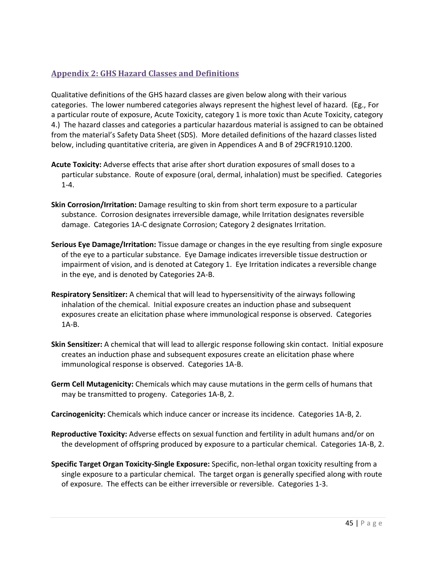# <span id="page-45-0"></span>**Appendix 2: GHS Hazard Classes and Definitions**

Qualitative definitions of the GHS hazard classes are given below along with their various categories. The lower numbered categories always represent the highest level of hazard. (Eg., For a particular route of exposure, Acute Toxicity, category 1 is more toxic than Acute Toxicity, category 4.) The hazard classes and categories a particular hazardous material is assigned to can be obtained from the material's Safety Data Sheet (SDS). More detailed definitions of the hazard classes listed below, including quantitative criteria, are given in Appendices A and B of 29CFR1910.1200.

- **Acute Toxicity:** Adverse effects that arise after short duration exposures of small doses to a particular substance. Route of exposure (oral, dermal, inhalation) must be specified. Categories 1-4.
- **Skin Corrosion/Irritation:** Damage resulting to skin from short term exposure to a particular substance. Corrosion designates irreversible damage, while Irritation designates reversible damage. Categories 1A-C designate Corrosion; Category 2 designates Irritation.
- **Serious Eye Damage/Irritation:** Tissue damage or changes in the eye resulting from single exposure of the eye to a particular substance. Eye Damage indicates irreversible tissue destruction or impairment of vision, and is denoted at Category 1. Eye Irritation indicates a reversible change in the eye, and is denoted by Categories 2A-B.
- **Respiratory Sensitizer:** A chemical that will lead to hypersensitivity of the airways following inhalation of the chemical. Initial exposure creates an induction phase and subsequent exposures create an elicitation phase where immunological response is observed. Categories 1A-B.
- **Skin Sensitizer:** A chemical that will lead to allergic response following skin contact. Initial exposure creates an induction phase and subsequent exposures create an elicitation phase where immunological response is observed. Categories 1A-B.
- **Germ Cell Mutagenicity:** Chemicals which may cause mutations in the germ cells of humans that may be transmitted to progeny. Categories 1A-B, 2.

**Carcinogenicity:** Chemicals which induce cancer or increase its incidence. Categories 1A-B, 2.

- **Reproductive Toxicity:** Adverse effects on sexual function and fertility in adult humans and/or on the development of offspring produced by exposure to a particular chemical. Categories 1A-B, 2.
- **Specific Target Organ Toxicity-Single Exposure:** Specific, non-lethal organ toxicity resulting from a single exposure to a particular chemical. The target organ is generally specified along with route of exposure. The effects can be either irreversible or reversible. Categories 1-3.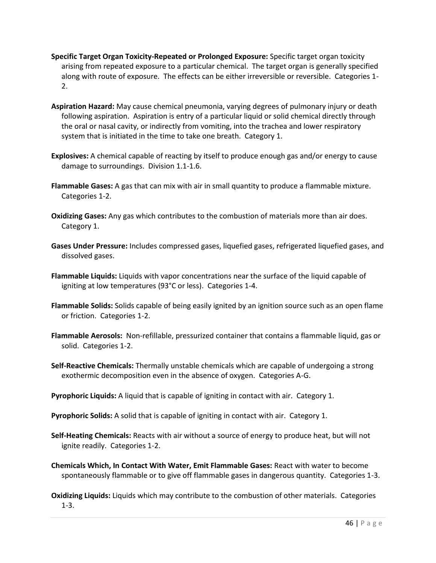- **Specific Target Organ Toxicity-Repeated or Prolonged Exposure:** Specific target organ toxicity arising from repeated exposure to a particular chemical. The target organ is generally specified along with route of exposure. The effects can be either irreversible or reversible. Categories 1-2.
- **Aspiration Hazard:** May cause chemical pneumonia, varying degrees of pulmonary injury or death following aspiration. Aspiration is entry of a particular liquid or solid chemical directly through the oral or nasal cavity, or indirectly from vomiting, into the trachea and lower respiratory system that is initiated in the time to take one breath. Category 1.
- **Explosives:** A chemical capable of reacting by itself to produce enough gas and/or energy to cause damage to surroundings. Division 1.1-1.6.
- **Flammable Gases:** A gas that can mix with air in small quantity to produce a flammable mixture. Categories 1-2.
- **Oxidizing Gases:** Any gas which contributes to the combustion of materials more than air does. Category 1.
- **Gases Under Pressure:** Includes compressed gases, liquefied gases, refrigerated liquefied gases, and dissolved gases.
- **Flammable Liquids:** Liquids with vapor concentrations near the surface of the liquid capable of igniting at low temperatures (93°C or less). Categories 1-4.
- **Flammable Solids:** Solids capable of being easily ignited by an ignition source such as an open flame or friction. Categories 1-2.
- **Flammable Aerosols:** Non-refillable, pressurized container that contains a flammable liquid, gas or solid. Categories 1-2.
- **Self-Reactive Chemicals:** Thermally unstable chemicals which are capable of undergoing a strong exothermic decomposition even in the absence of oxygen. Categories A-G.
- **Pyrophoric Liquids:** A liquid that is capable of igniting in contact with air. Category 1.
- **Pyrophoric Solids:** A solid that is capable of igniting in contact with air. Category 1.
- **Self-Heating Chemicals:** Reacts with air without a source of energy to produce heat, but will not ignite readily. Categories 1-2.
- **Chemicals Which, In Contact With Water, Emit Flammable Gases:** React with water to become spontaneously flammable or to give off flammable gases in dangerous quantity. Categories 1-3.
- **Oxidizing Liquids:** Liquids which may contribute to the combustion of other materials. Categories 1-3.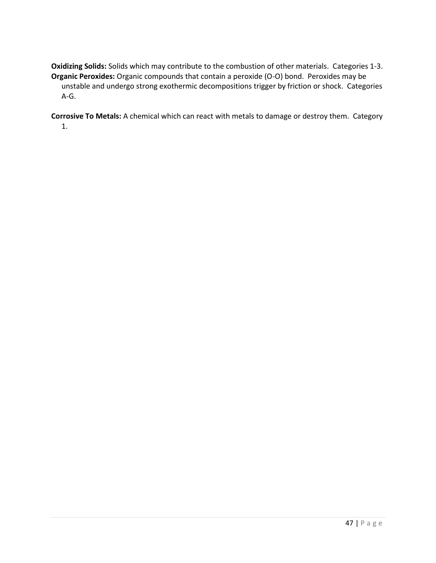**Oxidizing Solids:** Solids which may contribute to the combustion of other materials. Categories 1-3. **Organic Peroxides:** Organic compounds that contain a peroxide (O-O) bond. Peroxides may be unstable and undergo strong exothermic decompositions trigger by friction or shock. Categories A-G.

**Corrosive To Metals:** A chemical which can react with metals to damage or destroy them. Category 1.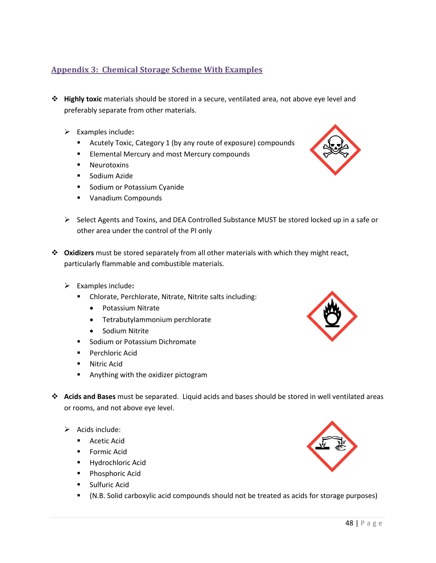# <span id="page-48-0"></span>**Appendix 3: Chemical Storage Scheme With Examples**

- ❖ **Highly toxic** materials should be stored in a secure, ventilated area, not above eye level and preferably separate from other materials.
	- ➢ Examples include**:**
		- Acutely Toxic, Category 1 (by any route of exposure) compounds
		- Elemental Mercury and most Mercury compounds
		- Neurotoxins
		- Sodium Azide
		- Sodium or Potassium Cyanide
		- Vanadium Compounds
	- $\triangleright$  Select Agents and Toxins, and DEA Controlled Substance MUST be stored locked up in a safe or other area under the control of the PI only
- ❖ **Oxidizers** must be stored separately from all other materials with which they might react, particularly flammable and combustible materials.
	- ➢ Examples include**:**
		- Chlorate, Perchlorate, Nitrate, Nitrite salts including:
			- Potassium Nitrate
			- Tetrabutylammonium perchlorate
			- Sodium Nitrite
		- Sodium or Potassium Dichromate
		- Perchloric Acid
		- Nitric Acid
		- Anything with the oxidizer pictogram
- ❖ **Acids and Bases** must be separated. Liquid acids and bases should be stored in well ventilated areas or rooms, and not above eye level.
	- $\triangleright$  Acids include:
		- Acetic Acid
		- Formic Acid
		- Hydrochloric Acid
		- Phosphoric Acid
		- Sulfuric Acid
		- (N.B. Solid carboxylic acid compounds should not be treated as acids for storage purposes)





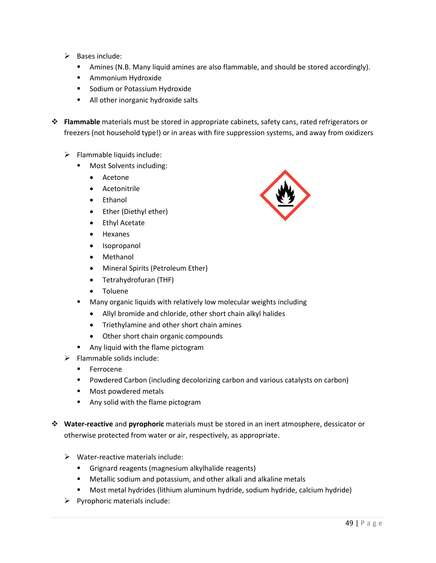- $\triangleright$  Bases include:
	- Amines (N.B. Many liquid amines are also flammable, and should be stored accordingly).
	- Ammonium Hydroxide
	- Sodium or Potassium Hydroxide
	- All other inorganic hydroxide salts
- ❖ **Flammable** materials must be stored in appropriate cabinets, safety cans, rated refrigerators or freezers (not household type!) or in areas with fire suppression systems, and away from oxidizers
	- $\triangleright$  Flammable liquids include:
		- Most Solvents including:
			- Acetone
			- Acetonitrile
			- Ethanol
			- Ether (Diethyl ether)
			- Ethyl Acetate
			- Hexanes
			- Isopropanol
			- Methanol
			- Mineral Spirits (Petroleum Ether)
			- Tetrahydrofuran (THF)
			- Toluene
			- Many organic liquids with relatively low molecular weights including
				- Allyl bromide and chloride, other short chain alkyl halides
				- Triethylamine and other short chain amines
				- Other short chain organic compounds
		- Any liquid with the flame pictogram
	- $\triangleright$  Flammable solids include:
		- Ferrocene
		- Powdered Carbon (including decolorizing carbon and various catalysts on carbon)
		- Most powdered metals
		- Any solid with the flame pictogram
- ❖ **Water-reactive** and **pyrophoric** materials must be stored in an inert atmosphere, dessicator or otherwise protected from water or air, respectively, as appropriate.
	- ➢ Water-reactive materials include:
		- Grignard reagents (magnesium alkylhalide reagents)
		- Metallic sodium and potassium, and other alkali and alkaline metals
		- Most metal hydrides (lithium aluminum hydride, sodium hydride, calcium hydride)
	- $\triangleright$  Pyrophoric materials include:

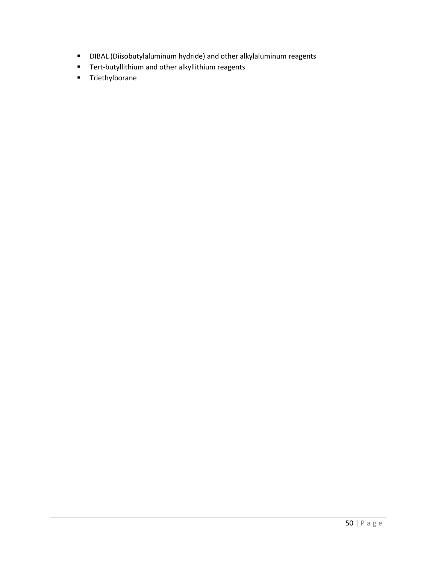- DIBAL (Diisobutylaluminum hydride) and other alkylaluminum reagents
- Tert-butyllithium and other alkyllithium reagents
- Triethylborane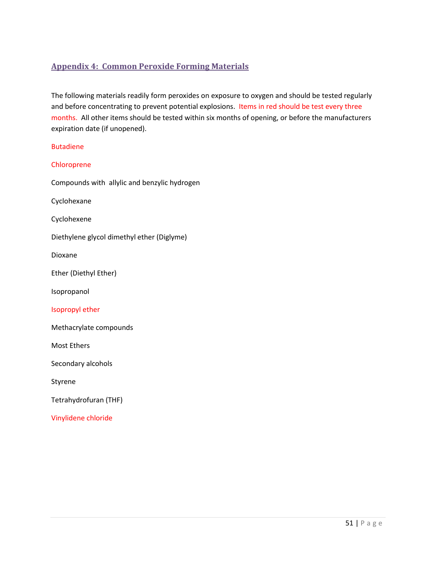# <span id="page-51-0"></span>**Appendix 4: Common Peroxide Forming Materials**

The following materials readily form peroxides on exposure to oxygen and should be tested regularly and before concentrating to prevent potential explosions. Items in red should be test every three months. All other items should be tested within six months of opening, or before the manufacturers expiration date (if unopened).

| <b>Butadiene</b>                             |
|----------------------------------------------|
| Chloroprene                                  |
| Compounds with allylic and benzylic hydrogen |
| Cyclohexane                                  |
| Cyclohexene                                  |
| Diethylene glycol dimethyl ether (Diglyme)   |
| Dioxane                                      |
| Ether (Diethyl Ether)                        |
| Isopropanol                                  |
| Isopropyl ether                              |
| Methacrylate compounds                       |
| Most Ethers                                  |
| Secondary alcohols                           |
| Styrene                                      |
| Tetrahydrofuran (THF)                        |
| Vinylidene chloride                          |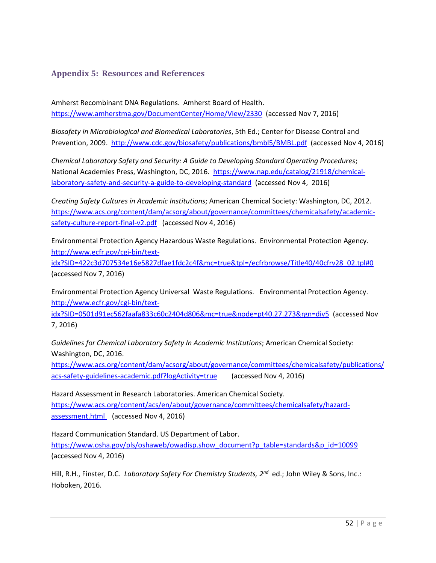# <span id="page-52-0"></span>**Appendix 5: Resources and References**

Amherst Recombinant DNA Regulations. Amherst Board of Health. <https://www.amherstma.gov/DocumentCenter/Home/View/2330>(accessed Nov 7, 2016)

*Biosafety in Microbiological and Biomedical Laboratories*, 5th Ed.; Center for Disease Control and Prevention, 2009. <http://www.cdc.gov/biosafety/publications/bmbl5/BMBL.pdf>(accessed Nov 4, 2016)

*Chemical Laboratory Safety and Security: A Guide to Developing Standard Operating Procedures*; National Academies Press, Washington, DC, 2016. [https://www.nap.edu/catalog/21918/chemical](https://www.nap.edu/catalog/21918/chemical-laboratory-safety-and-security-a-guide-to-developing-standard)[laboratory-safety-and-security-a-guide-to-developing-standard](https://www.nap.edu/catalog/21918/chemical-laboratory-safety-and-security-a-guide-to-developing-standard) (accessed Nov 4, 2016)

*Creating Safety Cultures in Academic Institutions*; American Chemical Society: Washington, DC, 2012. [https://www.acs.org/content/dam/acsorg/about/governance/committees/chemicalsafety/academic](https://www.acs.org/content/dam/acsorg/about/governance/committees/chemicalsafety/academic-safety-culture-report-final-v2.pdf)[safety-culture-report-final-v2.pdf](https://www.acs.org/content/dam/acsorg/about/governance/committees/chemicalsafety/academic-safety-culture-report-final-v2.pdf) (accessed Nov 4, 2016)

Environmental Protection Agency Hazardous Waste Regulations. Environmental Protection Agency. [http://www.ecfr.gov/cgi-bin/text-](http://www.ecfr.gov/cgi-bin/text-idx?SID=422c3d707534e16e5827dfae1fdc2c4f&mc=true&tpl=/ecfrbrowse/Title40/40cfrv28_02.tpl%230)

[idx?SID=422c3d707534e16e5827dfae1fdc2c4f&mc=true&tpl=/ecfrbrowse/Title40/40cfrv28\\_02.tpl#0](http://www.ecfr.gov/cgi-bin/text-idx?SID=422c3d707534e16e5827dfae1fdc2c4f&mc=true&tpl=/ecfrbrowse/Title40/40cfrv28_02.tpl%230)  (accessed Nov 7, 2016)

Environmental Protection Agency Universal Waste Regulations. Environmental Protection Agency. [http://www.ecfr.gov/cgi-bin/text-](http://www.ecfr.gov/cgi-bin/text-idx?SID=0501d91ec562faafa833c60c2404d806&mc=true&node=pt40.27.273&rgn=div5)

[idx?SID=0501d91ec562faafa833c60c2404d806&mc=true&node=pt40.27.273&rgn=div5](http://www.ecfr.gov/cgi-bin/text-idx?SID=0501d91ec562faafa833c60c2404d806&mc=true&node=pt40.27.273&rgn=div5) (accessed Nov 7, 2016)

*Guidelines for Chemical Laboratory Safety In Academic Institutions*; American Chemical Society: Washington, DC, 2016.

[https://www.acs.org/content/dam/acsorg/about/governance/committees/chemicalsafety/publications/](https://www.acs.org/content/dam/acsorg/about/governance/committees/chemicalsafety/publications/acs-safety-guidelines-academic.pdf?logActivity=true) [acs-safety-guidelines-academic.pdf?logActivity=true](https://www.acs.org/content/dam/acsorg/about/governance/committees/chemicalsafety/publications/acs-safety-guidelines-academic.pdf?logActivity=true) (accessed Nov 4, 2016)

Hazard Assessment in Research Laboratories. American Chemical Society. [https://www.acs.org/content/acs/en/about/governance/committees/chemicalsafety/hazard](https://www.acs.org/content/acs/en/about/governance/committees/chemicalsafety/hazard-assessment.html)[assessment.html](https://www.acs.org/content/acs/en/about/governance/committees/chemicalsafety/hazard-assessment.html) (accessed Nov 4, 2016)

Hazard Communication Standard. US Department of Labor. [https://www.osha.gov/pls/oshaweb/owadisp.show\\_document?p\\_table=standards&p\\_id=10099](https://www.osha.gov/pls/oshaweb/owadisp.show_document?p_table=standards&p_id=10099)  (accessed Nov 4, 2016)

Hill, R.H., Finster, D.C. *Laboratory Safety For Chemistry Students, 2nd* ed.; John Wiley & Sons, Inc.: Hoboken, 2016.